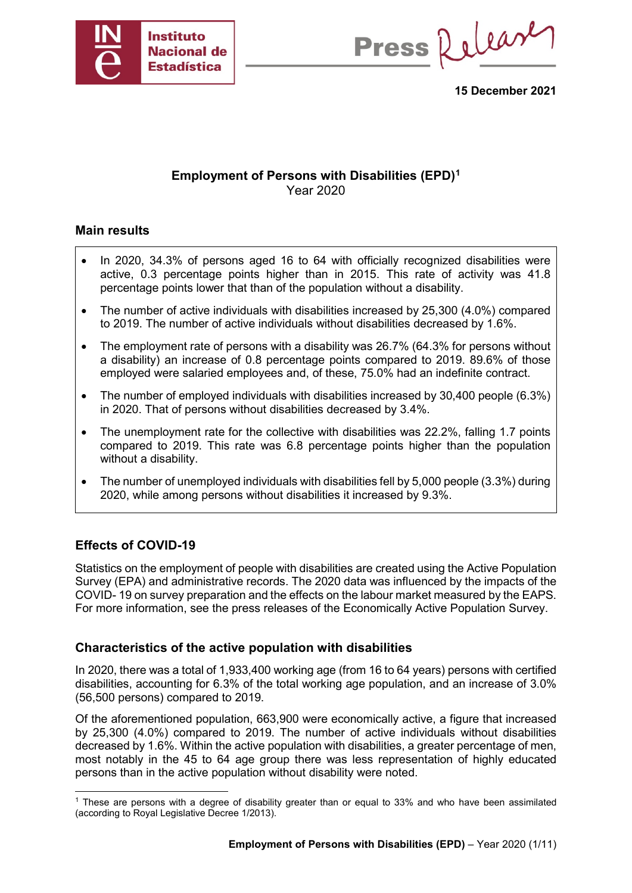

Press Release

**15 December 2021**

## **Employment of Persons with Disabilities (EPD)[1](#page-0-0)** Year 2020

### **Main results**

- In 2020, 34.3% of persons aged 16 to 64 with officially recognized disabilities were active, 0.3 percentage points higher than in 2015. This rate of activity was 41.8 percentage points lower that than of the population without a disability.
- The number of active individuals with disabilities increased by 25,300 (4.0%) compared to 2019. The number of active individuals without disabilities decreased by 1.6%.
- The employment rate of persons with a disability was 26.7% (64.3% for persons without a disability) an increase of 0.8 percentage points compared to 2019. 89.6% of those employed were salaried employees and, of these, 75.0% had an indefinite contract.
- The number of employed individuals with disabilities increased by 30,400 people (6.3%) in 2020. That of persons without disabilities decreased by 3.4%.
- The unemployment rate for the collective with disabilities was 22.2%, falling 1.7 points compared to 2019. This rate was 6.8 percentage points higher than the population without a disability.
- The number of unemployed individuals with disabilities fell by 5,000 people (3.3%) during 2020, while among persons without disabilities it increased by 9.3%.

## **Effects of COVID-19**

Statistics on the employment of people with disabilities are created using the Active Population Survey (EPA) and administrative records. The 2020 data was influenced by the impacts of the COVID- 19 on survey preparation and the effects on the labour market measured by the EAPS. For more information, see the press releases of the Economically Active Population Survey.

#### **Characteristics of the active population with disabilities**

In 2020, there was a total of 1,933,400 working age (from 16 to 64 years) persons with certified disabilities, accounting for 6.3% of the total working age population, and an increase of 3.0% (56,500 persons) compared to 2019.

Of the aforementioned population, 663,900 were economically active, a figure that increased by 25,300 (4.0%) compared to 2019. The number of active individuals without disabilities decreased by 1.6%. Within the active population with disabilities, a greater percentage of men, most notably in the 45 to 64 age group there was less representation of highly educated persons than in the active population without disability were noted.

<span id="page-0-0"></span> <sup>1</sup> These are persons with a degree of disability greater than or equal to 33% and who have been assimilated (according to Royal Legislative Decree 1/2013).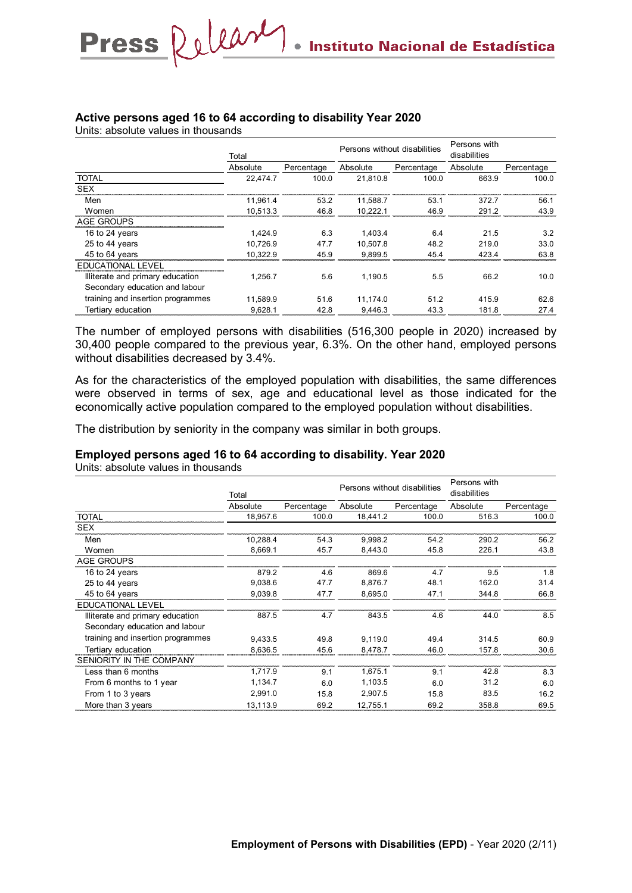#### **Active persons aged 16 to 64 according to disability Year 2020**

Units: absolute values in thousands

Press Release

|                                   | Total    |            |          | Persons without disabilities |          |            |  |
|-----------------------------------|----------|------------|----------|------------------------------|----------|------------|--|
|                                   | Absolute | Percentage | Absolute | Percentage                   | Absolute | Percentage |  |
| <b>TOTAL</b>                      | 22.474.7 | 100.0      | 21.810.8 | 100.0                        | 663.9    | 100.0      |  |
| <b>SEX</b>                        |          |            |          |                              |          |            |  |
| Men                               | 11.961.4 | 53.2       | 11.588.7 | 53.1                         | 372.7    | 56.1       |  |
| Women                             | 10.513.3 | 46.8       | 10.222.1 | 46.9                         | 291.2    | 43.9       |  |
| <b>AGE GROUPS</b>                 |          |            |          |                              |          |            |  |
| 16 to 24 years                    | 1.424.9  | 6.3        | 1.403.4  | 6.4                          | 21.5     | 3.2        |  |
| 25 to 44 years                    | 10.726.9 | 47.7       | 10.507.8 | 48.2                         | 219.0    | 33.0       |  |
| 45 to 64 years                    | 10.322.9 | 45.9       | 9.899.5  | 45.4                         | 423.4    | 63.8       |  |
| <b>EDUCATIONAL LEVEL</b>          |          |            |          |                              |          |            |  |
| Illiterate and primary education  | 1.256.7  | 5.6        | 1.190.5  | 5.5                          | 66.2     | 10.0       |  |
| Secondary education and labour    |          |            |          |                              |          |            |  |
| training and insertion programmes | 11.589.9 | 51.6       | 11.174.0 | 51.2                         | 415.9    | 62.6       |  |
| Tertiary education                | 9.628.1  | 42.8       | 9.446.3  | 43.3                         | 181.8    | 27.4       |  |

The number of employed persons with disabilities (516,300 people in 2020) increased by 30,400 people compared to the previous year, 6.3%. On the other hand, employed persons without disabilities decreased by 3.4%.

As for the characteristics of the employed population with disabilities, the same differences were observed in terms of sex, age and educational level as those indicated for the economically active population compared to the employed population without disabilities.

The distribution by seniority in the company was similar in both groups.

#### **Employed persons aged 16 to 64 according to disability. Year 2020**

Units: absolute values in thousands

|                                   | Total    |            | Persons without disabilities |            | Persons with<br>disabilities |            |
|-----------------------------------|----------|------------|------------------------------|------------|------------------------------|------------|
|                                   | Absolute | Percentage | Absolute                     | Percentage | Absolute                     | Percentage |
| <b>TOTAL</b>                      | 18,957.6 | 100.0      | 18,441.2                     | 100.0      | 516.3                        | 100.0      |
| <b>SEX</b>                        |          |            |                              |            |                              |            |
| Men                               | 10,288.4 | 54.3       | 9,998.2                      | 54.2       | 290.2                        | 56.2       |
| Women                             | 8,669.1  | 45.7       | 8,443.0                      | 45.8       | 226.1                        | 43.8       |
| <b>AGE GROUPS</b>                 |          |            |                              |            |                              |            |
| 16 to 24 years                    | 879.2    | 4.6        | 869.6                        | 4.7        | 9.5                          | 1.8        |
| 25 to 44 years                    | 9,038.6  | 47.7       | 8,876.7                      | 48.1       | 162.0                        | 31.4       |
| 45 to 64 years                    | 9,039.8  | 47.7       | 8,695.0                      | 47.1       | 344.8                        | 66.8       |
| <b>EDUCATIONAL LEVEL</b>          |          |            |                              |            |                              |            |
| Illiterate and primary education  | 887.5    | 4.7        | 843.5                        | 4.6        | 44.0                         | 8.5        |
| Secondary education and labour    |          |            |                              |            |                              |            |
| training and insertion programmes | 9,433.5  | 49.8       | 9,119.0                      | 49.4       | 314.5                        | 60.9       |
| Tertiary education                | 8,636.5  | 45.6       | 8,478.7                      | 46.0       | 157.8                        | 30.6       |
| SENIORITY IN THE COMPANY          |          |            |                              |            |                              |            |
| Less than 6 months                | 1,717.9  | 9.1        | 1,675.1                      | 9.1        | 42.8                         | 8.3        |
| From 6 months to 1 year           | 1,134.7  | 6.0        | 1,103.5                      | 6.0        | 31.2                         | 6.0        |
| From 1 to 3 years                 | 2,991.0  | 15.8       | 2,907.5                      | 15.8       | 83.5                         | 16.2       |
| More than 3 years                 | 13,113.9 | 69.2       | 12,755.1                     | 69.2       | 358.8                        | 69.5       |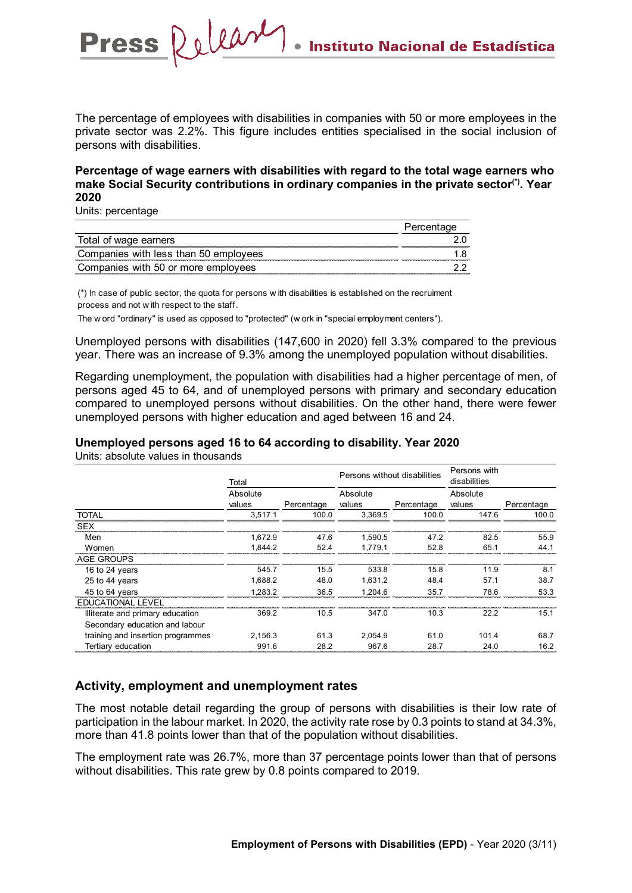The percentage of employees with disabilities in companies with 50 or more employees in the private sector was 2.2%. This figure includes entities specialised in the social inclusion of persons with disabilities.

#### **Percentage of wage earners with disabilities with regard to the total wage earners who make Social Security contributions in ordinary companies in the private sector(\*). Year 2020**

Units: percentage

Press Release

| াal of wage earners                   |  |
|---------------------------------------|--|
| Companies with less than 50 employees |  |
| Companies with 50 or more employees   |  |

(\*) In case of public sector, the quota for persons w ith disabilities is established on the recruiment process and not w ith respect to the staff.

The w ord "ordinary" is used as opposed to "protected" (w ork in "special employment centers").

Unemployed persons with disabilities (147,600 in 2020) fell 3.3% compared to the previous year. There was an increase of 9.3% among the unemployed population without disabilities.

Regarding unemployment, the population with disabilities had a higher percentage of men, of persons aged 45 to 64, and of unemployed persons with primary and secondary education compared to unemployed persons without disabilities. On the other hand, there were fewer unemployed persons with higher education and aged between 16 and 24.

**Unemployed persons aged 16 to 64 according to disability. Year 2020**

|                                   | Total              |            | Persons without disabilities |            | Persons with<br>disabilities |            |
|-----------------------------------|--------------------|------------|------------------------------|------------|------------------------------|------------|
|                                   | Absolute<br>values | Percentage | Absolute<br>values           | Percentage | Absolute<br>values           | Percentage |
| <b>TOTAL</b>                      | 3.517.1            | 100.0      | 3.369.5                      | 100.0      | 147.6                        | 100.0      |
| <b>SEX</b>                        |                    |            |                              |            |                              |            |
| Men                               | 1.672.9            | 47.6       | 1.590.5                      | 47.2       | 82.5                         | 55.9       |
| Women                             | 1.844.2            | 52.4       | 1.779.1                      | 52.8       | 65.1                         | 44.1       |
| <b>AGE GROUPS</b>                 |                    |            |                              |            |                              |            |
| 16 to 24 years                    | 545.7              | 15.5       | 533.8                        | 15.8       | 11.9                         | 8.1        |
| 25 to 44 years                    | 1.688.2            | 48.0       | 1.631.2                      | 48.4       | 57.1                         | 38.7       |
| 45 to 64 years                    | 1.283.2            | 36.5       | 1.204.6                      | 35.7       | 78.6                         | 53.3       |
| <b>EDUCATIONAL LEVEL</b>          |                    |            |                              |            |                              |            |
| Illiterate and primary education  | 369.2              | 10.5       | 347.0                        | 10.3       | 22.2                         | 15.1       |
| Secondary education and labour    |                    |            |                              |            |                              |            |
| training and insertion programmes | 2.156.3            | 61.3       | 2.054.9                      | 61.0       | 101.4                        | 68.7       |
| Tertiary education                | 991.6              | 28.2       | 967.6                        | 28.7       | 24.0                         | 16.2       |

Units: absolute values in thousands

## **Activity, employment and unemployment rates**

The most notable detail regarding the group of persons with disabilities is their low rate of participation in the labour market. In 2020, the activity rate rose by 0.3 points to stand at 34.3%, more than 41.8 points lower than that of the population without disabilities.

The employment rate was 26.7%, more than 37 percentage points lower than that of persons without disabilities. This rate grew by 0.8 points compared to 2019.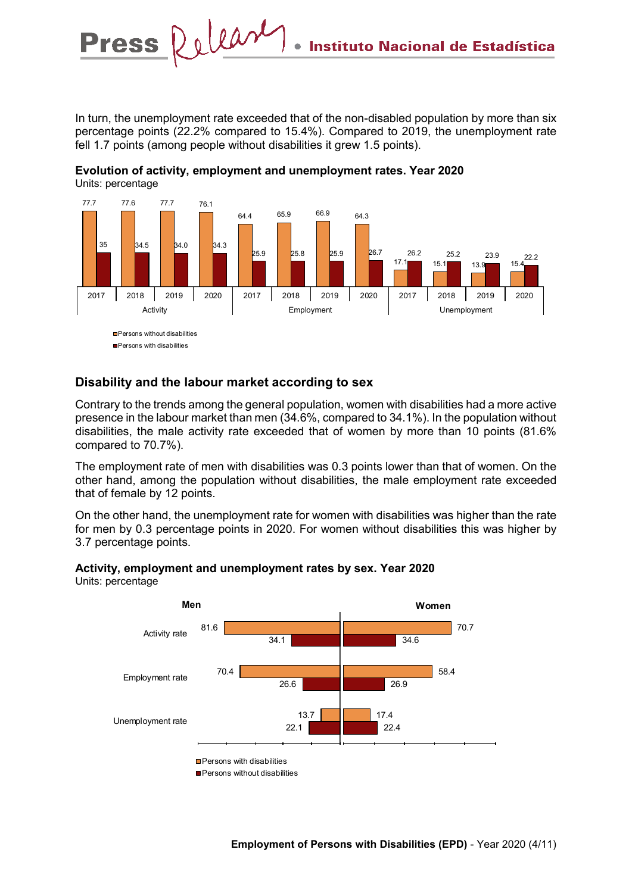In turn, the unemployment rate exceeded that of the non-disabled population by more than six percentage points (22.2% compared to 15.4%). Compared to 2019, the unemployment rate fell 1.7 points (among people without disabilities it grew 1.5 points).



**Evolution of activity, employment and unemployment rates. Year 2020**  Units: percentage

### **Disability and the labour market according to sex**

Press Relear

Contrary to the trends among the general population, women with disabilities had a more active presence in the labour market than men (34.6%, compared to 34.1%). In the population without disabilities, the male activity rate exceeded that of women by more than 10 points (81.6% compared to 70.7%).

The employment rate of men with disabilities was 0.3 points lower than that of women. On the other hand, among the population without disabilities, the male employment rate exceeded that of female by 12 points.

On the other hand, the unemployment rate for women with disabilities was higher than the rate for men by 0.3 percentage points in 2020. For women without disabilities this was higher by 3.7 percentage points.



**Activity, employment and unemployment rates by sex. Year 2020** Units: percentage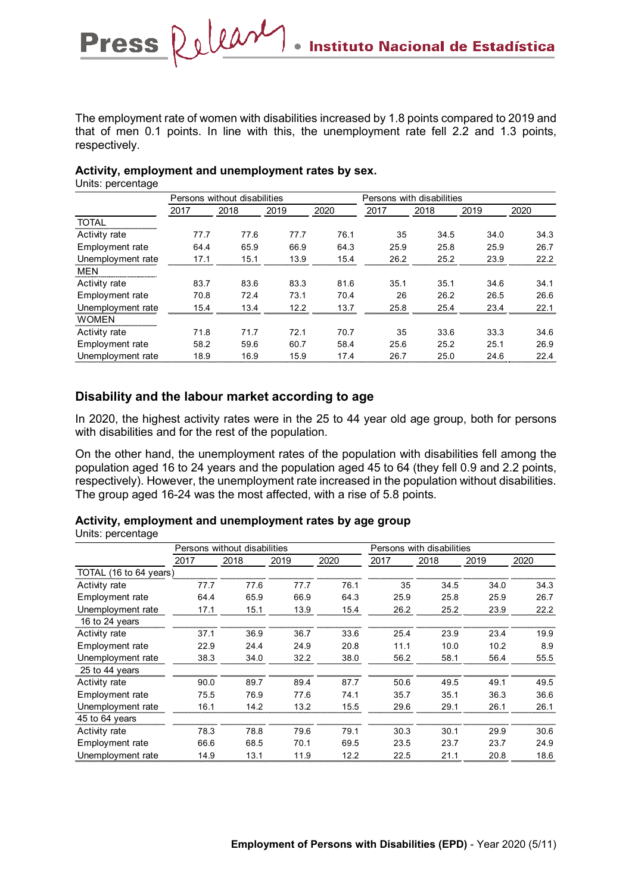The employment rate of women with disabilities increased by 1.8 points compared to 2019 and that of men 0.1 points. In line with this, the unemployment rate fell 2.2 and 1.3 points, respectively.

#### **Activity, employment and unemployment rates by sex.**

Press Release

Units: percentage

|                   | Persons without disabilities |      |      |      | Persons with disabilities |      |      |      |
|-------------------|------------------------------|------|------|------|---------------------------|------|------|------|
|                   | 2017                         | 2018 | 2019 | 2020 | 2017                      | 2018 | 2019 | 2020 |
| <b>TOTAL</b>      |                              |      |      |      |                           |      |      |      |
| Activity rate     | 77.7                         | 77.6 | 77.7 | 76.1 | 35                        | 34.5 | 34.0 | 34.3 |
| Employment rate   | 64.4                         | 65.9 | 66.9 | 64.3 | 25.9                      | 25.8 | 25.9 | 26.7 |
| Unemployment rate | 17.1                         | 15.1 | 13.9 | 15.4 | 26.2                      | 25.2 | 23.9 | 22.2 |
| <b>MEN</b>        |                              |      |      |      |                           |      |      |      |
| Activity rate     | 83.7                         | 83.6 | 83.3 | 81.6 | 35.1                      | 35.1 | 34.6 | 34.1 |
| Employment rate   | 70.8                         | 72.4 | 73.1 | 70.4 | 26                        | 26.2 | 26.5 | 26.6 |
| Unemployment rate | 15.4                         | 13.4 | 12.2 | 13.7 | 25.8                      | 25.4 | 23.4 | 22.1 |
| <b>WOMEN</b>      |                              |      |      |      |                           |      |      |      |
| Activity rate     | 71.8                         | 71.7 | 72.1 | 70.7 | 35                        | 33.6 | 33.3 | 34.6 |
| Employment rate   | 58.2                         | 59.6 | 60.7 | 58.4 | 25.6                      | 25.2 | 25.1 | 26.9 |
| Unemployment rate | 18.9                         | 16.9 | 15.9 | 17.4 | 26.7                      | 25.0 | 24.6 | 22.4 |

#### **Disability and the labour market according to age**

In 2020, the highest activity rates were in the 25 to 44 year old age group, both for persons with disabilities and for the rest of the population.

On the other hand, the unemployment rates of the population with disabilities fell among the population aged 16 to 24 years and the population aged 45 to 64 (they fell 0.9 and 2.2 points, respectively). However, the unemployment rate increased in the population without disabilities. The group aged 16-24 was the most affected, with a rise of 5.8 points.

## **Activity, employment and unemployment rates by age group**

Units: percentage

|                        | Persons without disabilities |      |      | Persons with disabilities |      |      |      |      |
|------------------------|------------------------------|------|------|---------------------------|------|------|------|------|
|                        | 2017                         | 2018 | 2019 | 2020                      | 2017 | 2018 | 2019 | 2020 |
| TOTAL (16 to 64 years) |                              |      |      |                           |      |      |      |      |
| Activity rate          | 77.7                         | 77.6 | 77.7 | 76.1                      | 35   | 34.5 | 34.0 | 34.3 |
| Employment rate        | 64.4                         | 65.9 | 66.9 | 64.3                      | 25.9 | 25.8 | 25.9 | 26.7 |
| Unemployment rate      | 17.1                         | 15.1 | 13.9 | 15.4                      | 26.2 | 25.2 | 23.9 | 22.2 |
| 16 to 24 years         |                              |      |      |                           |      |      |      |      |
| Activity rate          | 37.1                         | 36.9 | 36.7 | 33.6                      | 25.4 | 23.9 | 23.4 | 19.9 |
| Employment rate        | 22.9                         | 24.4 | 24.9 | 20.8                      | 11.1 | 10.0 | 10.2 | 8.9  |
| Unemployment rate      | 38.3                         | 34.0 | 32.2 | 38.0                      | 56.2 | 58.1 | 56.4 | 55.5 |
| 25 to 44 years         |                              |      |      |                           |      |      |      |      |
| <b>Activity rate</b>   | 90.0                         | 89.7 | 89.4 | 87.7                      | 50.6 | 49.5 | 49.1 | 49.5 |
| Employment rate        | 75.5                         | 76.9 | 77.6 | 74.1                      | 35.7 | 35.1 | 36.3 | 36.6 |
| Unemployment rate      | 16.1                         | 14.2 | 13.2 | 15.5                      | 29.6 | 29.1 | 26.1 | 26.1 |
| 45 to 64 years         |                              |      |      |                           |      |      |      |      |
| Activity rate          | 78.3                         | 78.8 | 79.6 | 79.1                      | 30.3 | 30.1 | 29.9 | 30.6 |
| Employment rate        | 66.6                         | 68.5 | 70.1 | 69.5                      | 23.5 | 23.7 | 23.7 | 24.9 |
| Unemployment rate      | 14.9                         | 13.1 | 11.9 | 12.2                      | 22.5 | 21.1 | 20.8 | 18.6 |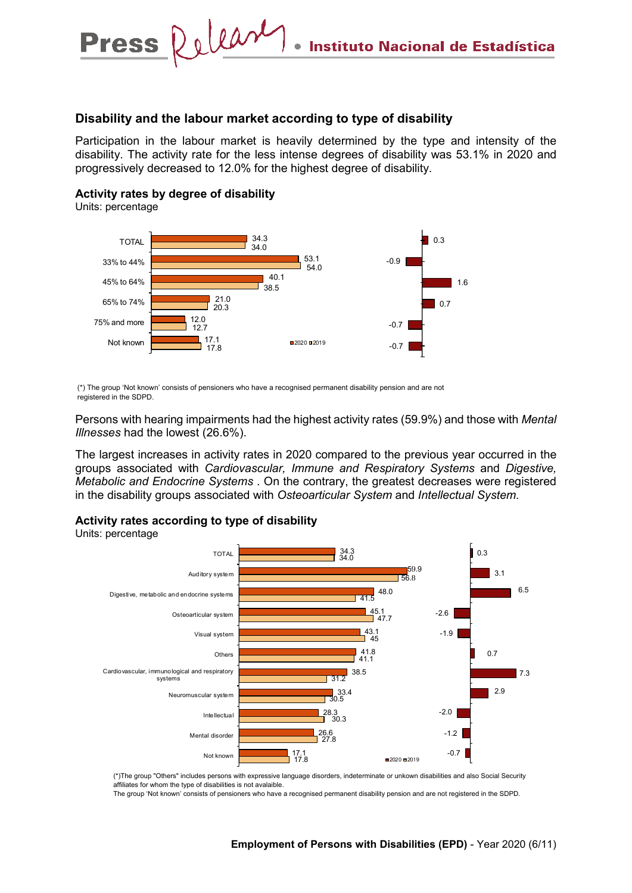#### **Disability and the labour market according to type of disability**

Participation in the labour market is heavily determined by the type and intensity of the disability. The activity rate for the less intense degrees of disability was 53.1% in 2020 and progressively decreased to 12.0% for the highest degree of disability.

#### **Activity rates by degree of disability**

Press Release

Units: percentage



(\*) The group 'Not known' consists of pensioners who have a recognised permanent disability pension and are not registered in the SDPD.

Persons with hearing impairments had the highest activity rates (59.9%) and those with *Mental Illnesses* had the lowest (26.6%).

The largest increases in activity rates in 2020 compared to the previous year occurred in the groups associated with *Cardiovascular, Immune and Respiratory Systems* and *Digestive, Metabolic and Endocrine Systems* . On the contrary, the greatest decreases were registered in the disability groups associated with *Osteoarticular System* and *Intellectual System.*



Units: percentage



(\*)The group "Others" includes persons with expressive language disorders, indeterminate or unkown disabilities and also Social Security affiliates for whom the type of disabilities is not avalaible.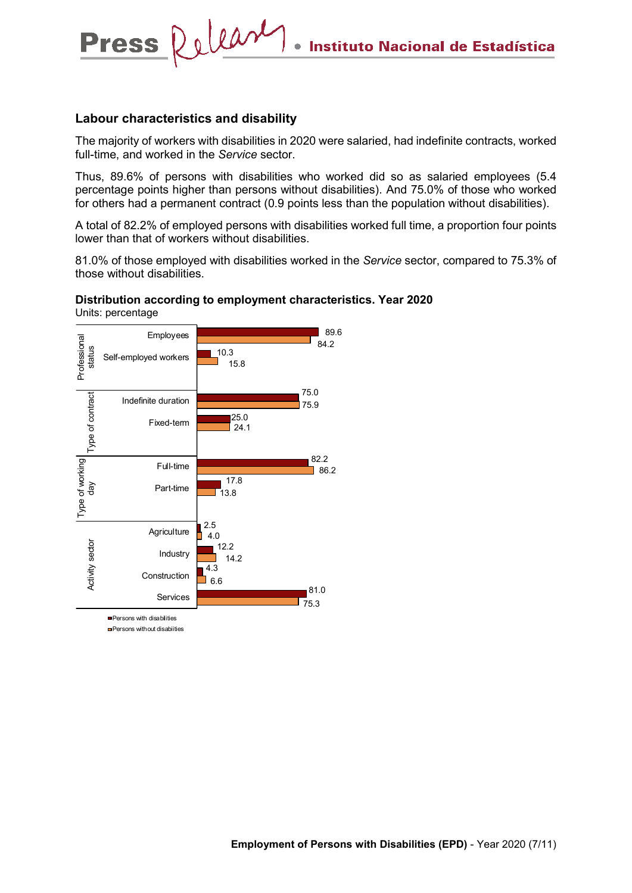#### **Labour characteristics and disability**

Press Relear

The majority of workers with disabilities in 2020 were salaried, had indefinite contracts, worked full-time, and worked in the *Service* sector.

Thus, 89.6% of persons with disabilities who worked did so as salaried employees (5.4 percentage points higher than persons without disabilities). And 75.0% of those who worked for others had a permanent contract (0.9 points less than the population without disabilities).

A total of 82.2% of employed persons with disabilities worked full time, a proportion four points lower than that of workers without disabilities.

81.0% of those employed with disabilities worked in the *Service* sector, compared to 75.3% of those without disabilities.

#### **Distribution according to employment characteristics. Year 2020** Units: percentage

89.6 Employees Professional Professional 84.2 status 10.3 Self-employed workers 15.8 75.0 Type of contract Type of contract Indefinite duration 75.9 25.0 Fixed-term 24.1 82.2 Type of working Type of working Full-time 86.2 17.8 day Part-time  $\overline{1}$  13.8 2.5 **Agriculture** 4.0 **Activity sector** Activity sector 12.2 Industry 14.2 4.3 Construction 6.6 81.0 Services  $175.3$ 

**Persons with disabilities** 

**Persons without disabiities**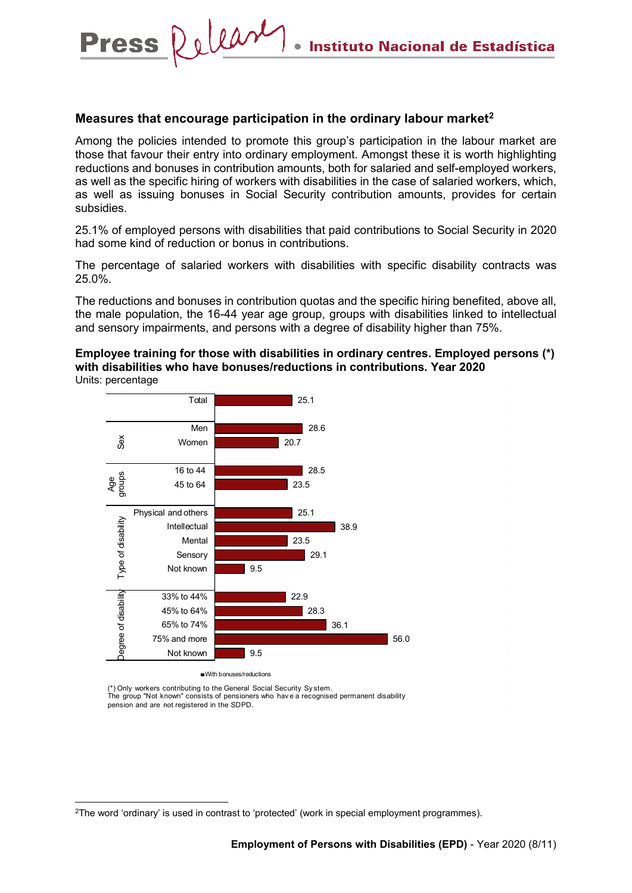#### **Measures that encourage participation in the ordinary labour market[2](#page-7-0)**

Press Release

Among the policies intended to promote this group's participation in the labour market are those that favour their entry into ordinary employment. Amongst these it is worth highlighting reductions and bonuses in contribution amounts, both for salaried and self-employed workers, as well as the specific hiring of workers with disabilities in the case of salaried workers, which, as well as issuing bonuses in Social Security contribution amounts, provides for certain subsidies.

25.1% of employed persons with disabilities that paid contributions to Social Security in 2020 had some kind of reduction or bonus in contributions.

The percentage of salaried workers with disabilities with specific disability contracts was 25.0%.

The reductions and bonuses in contribution quotas and the specific hiring benefited, above all, the male population, the 16-44 year age group, groups with disabilities linked to intellectual and sensory impairments, and persons with a degree of disability higher than 75%.

**Employee training for those with disabilities in ordinary centres. Employed persons (\*) with disabilities who have bonuses/reductions in contributions. Year 2020**  Units: percentage



(\*) Only workers contributing to the General Social Security Sy stem. The group "Not known" consists of pensioners who hav e a recognised permanent disability pension and are not registered in the SDPD.

<span id="page-7-0"></span> <sup>2</sup>The word 'ordinary' is used in contrast to 'protected' (work in special employment programmes).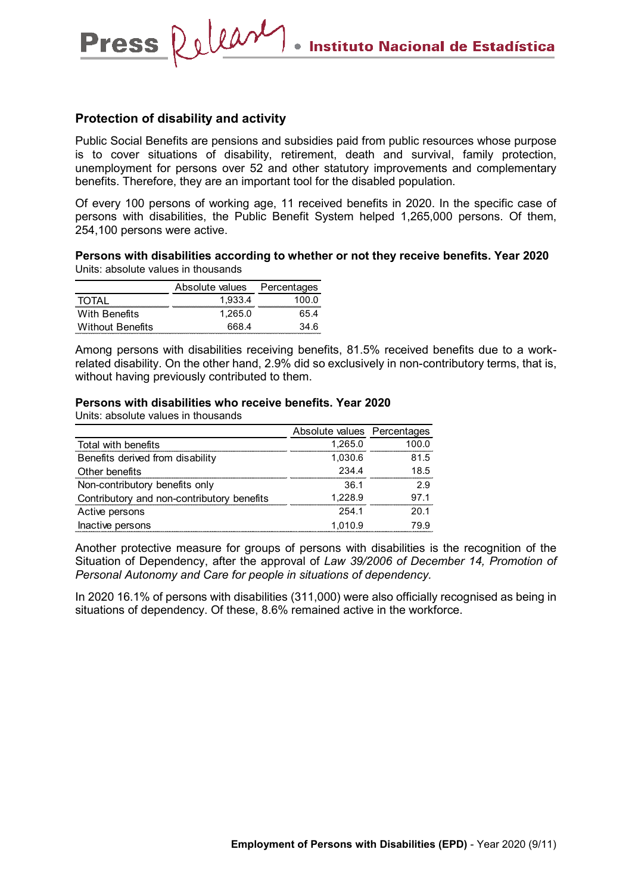#### **Protection of disability and activity**

**Press** 

Release

Public Social Benefits are pensions and subsidies paid from public resources whose purpose is to cover situations of disability, retirement, death and survival, family protection, unemployment for persons over 52 and other statutory improvements and complementary benefits. Therefore, they are an important tool for the disabled population.

Of every 100 persons of working age, 11 received benefits in 2020. In the specific case of persons with disabilities, the Public Benefit System helped 1,265,000 persons. Of them, 254,100 persons were active.

**Persons with disabilities according to whether or not they receive benefits. Year 2020** Units: absolute values in thousands

|                         | Absolute values Percentages |                                |
|-------------------------|-----------------------------|--------------------------------|
| TOTAL                   | 1.933.4                     | 1በበ በ<br>--------------------- |
| With Benefits           | 1.265.0                     | 65 4                           |
| <b>Without Benefits</b> | 668 4                       | 34 R                           |

Among persons with disabilities receiving benefits, 81.5% received benefits due to a workrelated disability. On the other hand, 2.9% did so exclusively in non-contributory terms, that is, without having previously contributed to them.

#### **Persons with disabilities who receive benefits. Year 2020**

Units: absolute values in thousands

|                                            | Absolute values Percentages |       |
|--------------------------------------------|-----------------------------|-------|
| Total with benefits                        | 1,265.0                     | 100.0 |
| Benefits derived from disability           | 1,030.6                     | 81.5  |
| Other benefits                             | 234.4                       | 18.5  |
| Non-contributory benefits only             | 36.1                        | 29    |
| Contributory and non-contributory benefits | 1.228.9                     | 97.1  |
| Active persons                             | 254.1                       | 20.1  |
| Inactive persons                           | 1.010.9                     | 79.9  |

Another protective measure for groups of persons with disabilities is the recognition of the Situation of Dependency, after the approval of *Law 39/2006 of December 14, Promotion of Personal Autonomy and Care for people in situations of dependency.*

In 2020 16.1% of persons with disabilities (311,000) were also officially recognised as being in situations of dependency. Of these, 8.6% remained active in the workforce.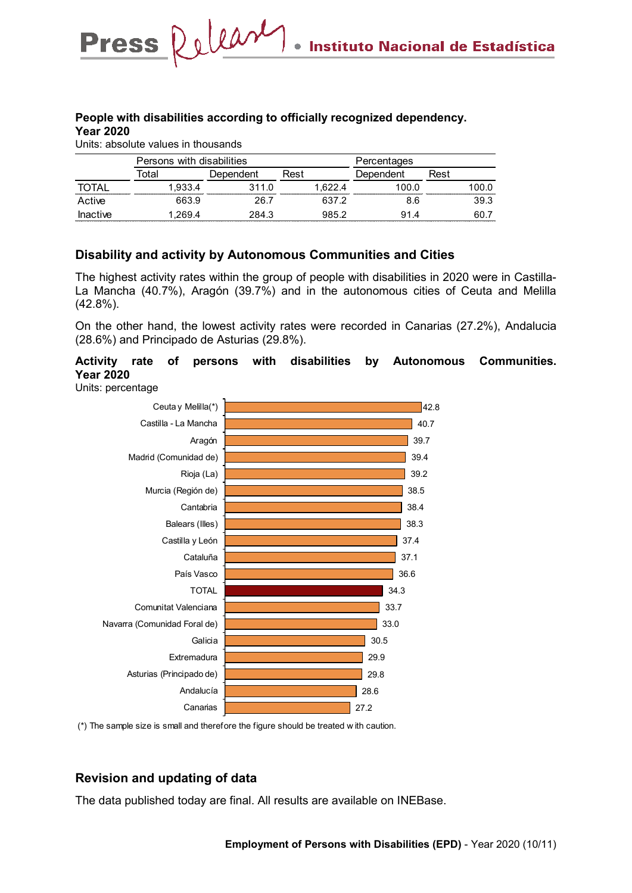#### **People with disabilities according to officially recognized dependency. Year 2020**

Units: absolute values in thousands

Press Release

|                                                 | Persons with disabilities |           | Percentages |           |       |
|-------------------------------------------------|---------------------------|-----------|-------------|-----------|-------|
|                                                 | otal                      | Dependent | Rest        | Dependent | Rest  |
| <b>TAXABLE AND RESIDENT PROPERTY AND LODGED</b> | 1.933.4                   | 311.0     | .622.4      | 1በበ በ     | LOO 0 |
| Active                                          | 663.9                     | 26 7      | 637.2       | 8.6       | 39.3  |
| Inactive                                        | .269.4                    | 284.3     | 985 2       | 91.4      | -60.7 |

#### **Disability and activity by Autonomous Communities and Cities**

The highest activity rates within the group of people with disabilities in 2020 were in Castilla-La Mancha (40.7%), Aragón (39.7%) and in the autonomous cities of Ceuta and Melilla (42.8%).

On the other hand, the lowest activity rates were recorded in Canarias (27.2%), Andalucia (28.6%) and Principado de Asturias (29.8%).

#### **Activity rate of persons with disabilities by Autonomous Communities. Year 2020**

Units: percentage



(\*) The sample size is small and therefore the figure should be treated w ith caution.

#### **Revision and updating of data**

The data published today are final. All results are available on INEBase.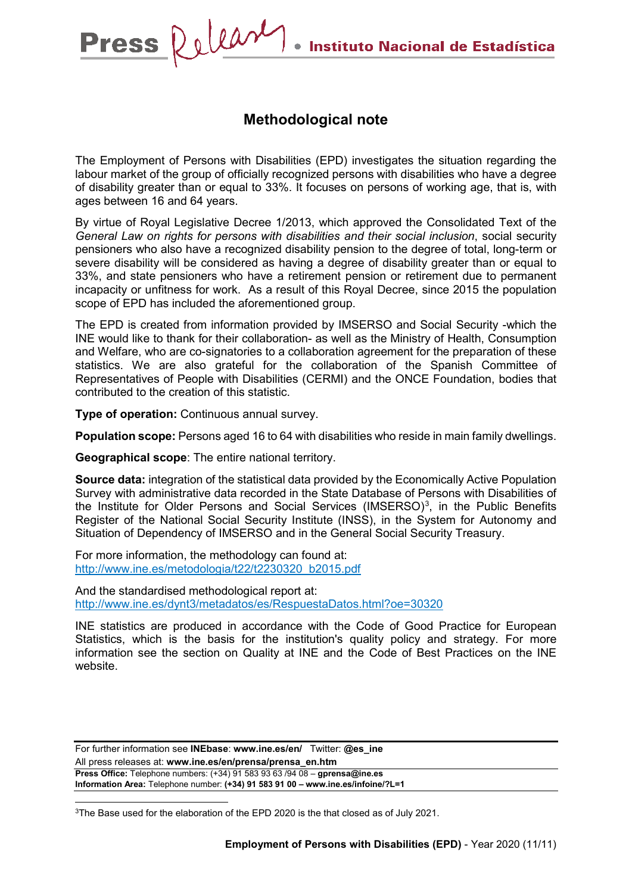## **Methodological note**

The Employment of Persons with Disabilities (EPD) investigates the situation regarding the labour market of the group of officially recognized persons with disabilities who have a degree of disability greater than or equal to 33%. It focuses on persons of working age, that is, with ages between 16 and 64 years.

By virtue of Royal Legislative Decree 1/2013, which approved the Consolidated Text of the *General Law on rights for persons with disabilities and their social inclusion*, social security pensioners who also have a recognized disability pension to the degree of total, long-term or severe disability will be considered as having a degree of disability greater than or equal to 33%, and state pensioners who have a retirement pension or retirement due to permanent incapacity or unfitness for work. As a result of this Royal Decree, since 2015 the population scope of EPD has included the aforementioned group.

The EPD is created from information provided by IMSERSO and Social Security -which the INE would like to thank for their collaboration- as well as the Ministry of Health, Consumption and Welfare, who are co-signatories to a collaboration agreement for the preparation of these statistics. We are also grateful for the collaboration of the Spanish Committee of Representatives of People with Disabilities (CERMI) and the ONCE Foundation, bodies that contributed to the creation of this statistic.

**Type of operation:** Continuous annual survey.

Press Releary

**Population scope:** Persons aged 16 to 64 with disabilities who reside in main family dwellings.

**Geographical scope**: The entire national territory.

**Source data:** integration of the statistical data provided by the Economically Active Population Survey with administrative data recorded in the State Database of Persons with Disabilities of the Institute for Older Persons and Social Services (IMSERSO)<sup>[3](#page-10-0)</sup>, in the Public Benefits Register of the National Social Security Institute (INSS), in the System for Autonomy and Situation of Dependency of IMSERSO and in the General Social Security Treasury.

For more information, the methodology can found at: [http://www.ine.es/metodologia/t22/t2230320\\_b2015.pdf](http://www.ine.es/metodologia/t22/t2230320_b2015.pdf)

And the standardised methodological report at: <http://www.ine.es/dynt3/metadatos/es/RespuestaDatos.html?oe=30320>

INE statistics are produced in accordance with the Code of Good Practice for European Statistics, which is the basis for the institution's quality policy and strategy. For more information see the section on [Quality at INE and the Code of Best Practices](https://www.ine.es/ss/Satellite?L=es_ES&c=Page&cid=1259943453642&p=1259943453642&pagename=MetodologiaYEstandares/INELayout) on the INE website.

For further information see **INEbase**: **www.ine.es/en/** Twitter: **@es\_ine** All press releases at: **www.ine.es/en/prensa/prensa\_en.htm Press Office:** Telephone numbers: (+34) 91 583 93 63 /94 08 – **gprensa@ine.es Information Area:** Telephone number: **(+34) 91 583 91 00 – www.ine.es/infoine/?L=1**

<span id="page-10-0"></span><sup>3</sup>The Base used for the elaboration of the EPD 2020 is the that closed as of July 2021.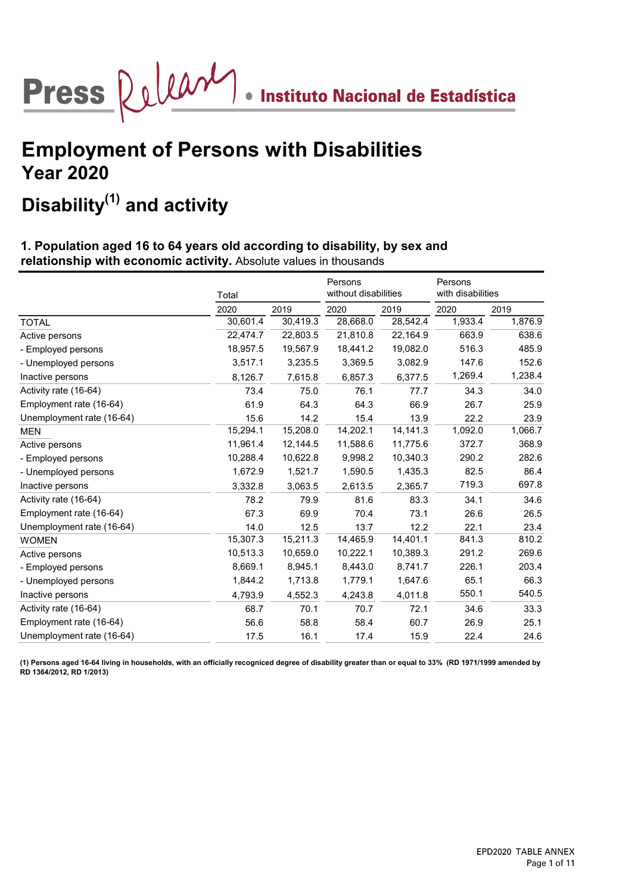# Press  $\bigotimes \bigcup \bigcup \bigotimes \mathcal{M}$  . Instituto Nacional de Estadística

## Employment of Persons with Disabilities Year 2020

## Disability $^{(1)}$  and activity

### 1. Population aged 16 to 64 years old according to disability, by sex and relationship with economic activity. Absolute values in thousands

|                           | Total    |          | Persons<br>without disabilities |          | Persons<br>with disabilities |         |
|---------------------------|----------|----------|---------------------------------|----------|------------------------------|---------|
|                           | 2020     | 2019     | 2020                            | 2019     | 2020                         | 2019    |
| <b>TOTAL</b>              | 30,601.4 | 30,419.3 | 28,668.0                        | 28,542.4 | 1,933.4                      | 1,876.9 |
| Active persons            | 22,474.7 | 22,803.5 | 21,810.8                        | 22,164.9 | 663.9                        | 638.6   |
| - Employed persons        | 18,957.5 | 19,567.9 | 18,441.2                        | 19,082.0 | 516.3                        | 485.9   |
| - Unemployed persons      | 3,517.1  | 3,235.5  | 3,369.5                         | 3,082.9  | 147.6                        | 152.6   |
| Inactive persons          | 8,126.7  | 7,615.8  | 6,857.3                         | 6,377.5  | 1,269.4                      | 1,238.4 |
| Activity rate (16-64)     | 73.4     | 75.0     | 76.1                            | 77.7     | 34.3                         | 34.0    |
| Employment rate (16-64)   | 61.9     | 64.3     | 64.3                            | 66.9     | 26.7                         | 25.9    |
| Unemployment rate (16-64) | 15.6     | 14.2     | 15.4                            | 13.9     | 22.2                         | 23.9    |
| <b>MEN</b>                | 15,294.1 | 15,208.0 | 14,202.1                        | 14,141.3 | 1,092.0                      | 1,066.7 |
| Active persons            | 11,961.4 | 12,144.5 | 11,588.6                        | 11,775.6 | 372.7                        | 368.9   |
| - Employed persons        | 10,288.4 | 10,622.8 | 9,998.2                         | 10,340.3 | 290.2                        | 282.6   |
| - Unemployed persons      | 1,672.9  | 1,521.7  | 1,590.5                         | 1,435.3  | 82.5                         | 86.4    |
| Inactive persons          | 3,332.8  | 3,063.5  | 2,613.5                         | 2,365.7  | 719.3                        | 697.8   |
| Activity rate (16-64)     | 78.2     | 79.9     | 81.6                            | 83.3     | 34.1                         | 34.6    |
| Employment rate (16-64)   | 67.3     | 69.9     | 70.4                            | 73.1     | 26.6                         | 26.5    |
| Unemployment rate (16-64) | 14.0     | 12.5     | 13.7                            | 12.2     | 22.1                         | 23.4    |
| <b>WOMEN</b>              | 15,307.3 | 15,211.3 | 14,465.9                        | 14,401.1 | 841.3                        | 810.2   |
| Active persons            | 10,513.3 | 10,659.0 | 10,222.1                        | 10,389.3 | 291.2                        | 269.6   |
| - Employed persons        | 8,669.1  | 8,945.1  | 8,443.0                         | 8,741.7  | 226.1                        | 203.4   |
| - Unemployed persons      | 1,844.2  | 1,713.8  | 1,779.1                         | 1,647.6  | 65.1                         | 66.3    |
| Inactive persons          | 4,793.9  | 4,552.3  | 4,243.8                         | 4,011.8  | 550.1                        | 540.5   |
| Activity rate (16-64)     | 68.7     | 70.1     | 70.7                            | 72.1     | 34.6                         | 33.3    |
| Employment rate (16-64)   | 56.6     | 58.8     | 58.4                            | 60.7     | 26.9                         | 25.1    |
| Unemployment rate (16-64) | 17.5     | 16.1     | 17.4                            | 15.9     | 22.4                         | 24.6    |

(1) Persons aged 16-64 living in households, with an officially recogniced degree of disability greater than or equal to 33% (RD 1971/1999 amended by RD 1364/2012, RD 1/2013)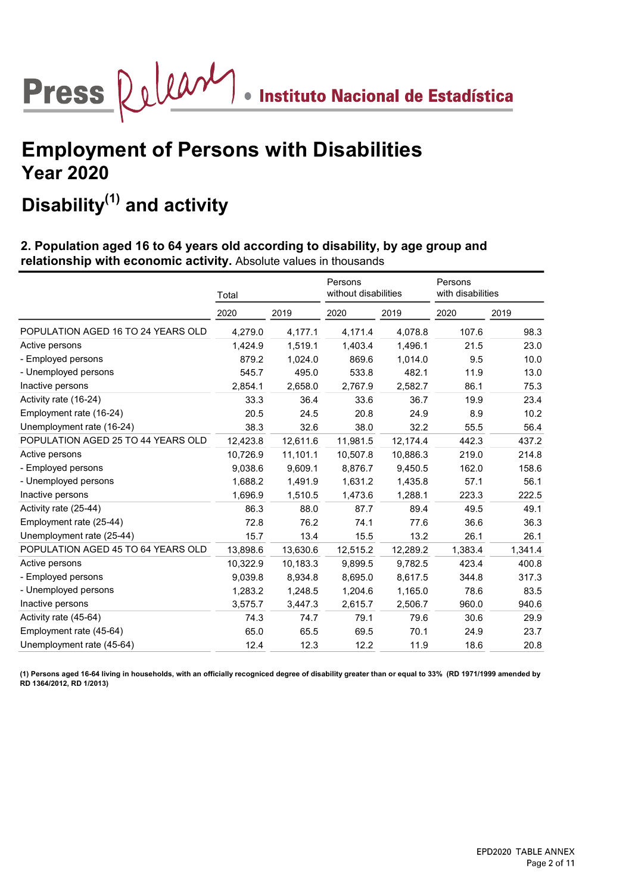

## Disability $^{(1)}$  and activity

### 2. Population aged 16 to 64 years old according to disability, by age group and relationship with economic activity. Absolute values in thousands

| Total    |          | Persons<br>without disabilities |          | Persons<br>with disabilities |         |
|----------|----------|---------------------------------|----------|------------------------------|---------|
| 2020     | 2019     | 2020                            | 2019     | 2020                         | 2019    |
| 4,279.0  | 4,177.1  | 4,171.4                         | 4,078.8  | 107.6                        | 98.3    |
| 1,424.9  | 1,519.1  | 1,403.4                         | 1,496.1  | 21.5                         | 23.0    |
| 879.2    | 1,024.0  | 869.6                           | 1,014.0  | 9.5                          | 10.0    |
| 545.7    | 495.0    | 533.8                           | 482.1    | 11.9                         | 13.0    |
| 2,854.1  | 2,658.0  | 2,767.9                         | 2,582.7  | 86.1                         | 75.3    |
| 33.3     | 36.4     | 33.6                            | 36.7     | 19.9                         | 23.4    |
| 20.5     | 24.5     | 20.8                            | 24.9     | 8.9                          | 10.2    |
| 38.3     | 32.6     | 38.0                            | 32.2     | 55.5                         | 56.4    |
| 12,423.8 | 12,611.6 | 11,981.5                        | 12,174.4 | 442.3                        | 437.2   |
| 10,726.9 | 11,101.1 | 10,507.8                        | 10,886.3 | 219.0                        | 214.8   |
| 9,038.6  | 9,609.1  | 8,876.7                         | 9,450.5  | 162.0                        | 158.6   |
| 1,688.2  | 1,491.9  | 1,631.2                         | 1,435.8  | 57.1                         | 56.1    |
| 1,696.9  | 1,510.5  | 1,473.6                         | 1,288.1  | 223.3                        | 222.5   |
| 86.3     | 88.0     | 87.7                            | 89.4     | 49.5                         | 49.1    |
| 72.8     | 76.2     | 74.1                            | 77.6     | 36.6                         | 36.3    |
| 15.7     | 13.4     | 15.5                            | 13.2     | 26.1                         | 26.1    |
| 13,898.6 | 13,630.6 | 12,515.2                        | 12,289.2 | 1,383.4                      | 1,341.4 |
| 10,322.9 | 10,183.3 | 9,899.5                         | 9,782.5  | 423.4                        | 400.8   |
| 9,039.8  | 8,934.8  | 8,695.0                         | 8,617.5  | 344.8                        | 317.3   |
| 1,283.2  | 1,248.5  | 1,204.6                         | 1,165.0  | 78.6                         | 83.5    |
| 3,575.7  | 3,447.3  | 2,615.7                         | 2,506.7  | 960.0                        | 940.6   |
| 74.3     | 74.7     | 79.1                            | 79.6     | 30.6                         | 29.9    |
| 65.0     | 65.5     | 69.5                            | 70.1     | 24.9                         | 23.7    |
| 12.4     | 12.3     | 12.2                            | 11.9     | 18.6                         | 20.8    |
|          |          |                                 |          |                              |         |

(1) Persons aged 16-64 living in households, with an officially recogniced degree of disability greater than or equal to 33% (RD 1971/1999 amended by RD 1364/2012, RD 1/2013)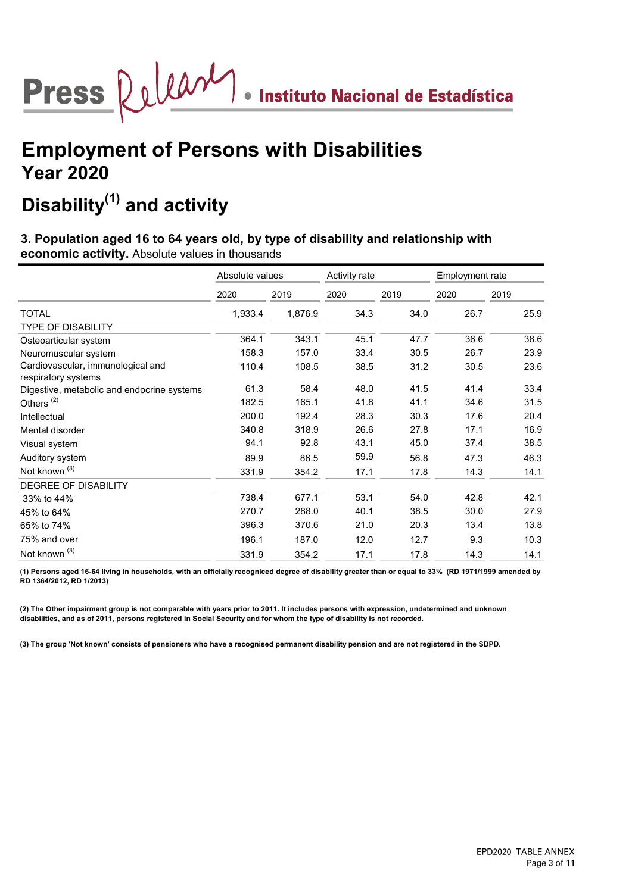

## Disability $^{(1)}$  and activity

### 3. Population aged 16 to 64 years old, by type of disability and relationship with economic activity. Absolute values in thousands

|                                                          | Absolute values |         | Activity rate |      | Employment rate |      |  |
|----------------------------------------------------------|-----------------|---------|---------------|------|-----------------|------|--|
|                                                          | 2020            | 2019    | 2020          | 2019 | 2020            | 2019 |  |
| <b>TOTAL</b>                                             | 1,933.4         | 1,876.9 | 34.3          | 34.0 | 26.7            | 25.9 |  |
| <b>TYPE OF DISABILITY</b>                                |                 |         |               |      |                 |      |  |
| Osteoarticular system                                    | 364.1           | 343.1   | 45.1          | 47.7 | 36.6            | 38.6 |  |
| Neuromuscular system                                     | 158.3           | 157.0   | 33.4          | 30.5 | 26.7            | 23.9 |  |
| Cardiovascular, immunological and<br>respiratory systems | 110.4           | 108.5   | 38.5          | 31.2 | 30.5            | 23.6 |  |
| Digestive, metabolic and endocrine systems               | 61.3            | 58.4    | 48.0          | 41.5 | 41.4            | 33.4 |  |
| Others <sup>(2)</sup>                                    | 182.5           | 165.1   | 41.8          | 41.1 | 34.6            | 31.5 |  |
| Intellectual                                             | 200.0           | 192.4   | 28.3          | 30.3 | 17.6            | 20.4 |  |
| Mental disorder                                          | 340.8           | 318.9   | 26.6          | 27.8 | 17.1            | 16.9 |  |
| Visual system                                            | 94.1            | 92.8    | 43.1          | 45.0 | 37.4            | 38.5 |  |
| Auditory system                                          | 89.9            | 86.5    | 59.9          | 56.8 | 47.3            | 46.3 |  |
| Not known <sup>(3)</sup>                                 | 331.9           | 354.2   | 17.1          | 17.8 | 14.3            | 14.1 |  |
| <b>DEGREE OF DISABILITY</b>                              |                 |         |               |      |                 |      |  |
| 33% to 44%                                               | 738.4           | 677.1   | 53.1          | 54.0 | 42.8            | 42.1 |  |
| 45% to 64%                                               | 270.7           | 288.0   | 40.1          | 38.5 | 30.0            | 27.9 |  |
| 65% to 74%                                               | 396.3           | 370.6   | 21.0          | 20.3 | 13.4            | 13.8 |  |
| 75% and over                                             | 196.1           | 187.0   | 12.0          | 12.7 | 9.3             | 10.3 |  |
| Not known <sup>(3)</sup>                                 | 331.9           | 354.2   | 17.1          | 17.8 | 14.3            | 14.1 |  |

(1) Persons aged 16-64 living in households, with an officially recogniced degree of disability greater than or equal to 33% (RD 1971/1999 amended by RD 1364/2012, RD 1/2013)

(2) The Other impairment group is not comparable with years prior to 2011. It includes persons with expression, undetermined and unknown disabilities, and as of 2011, persons registered in Social Security and for whom the type of disability is not recorded.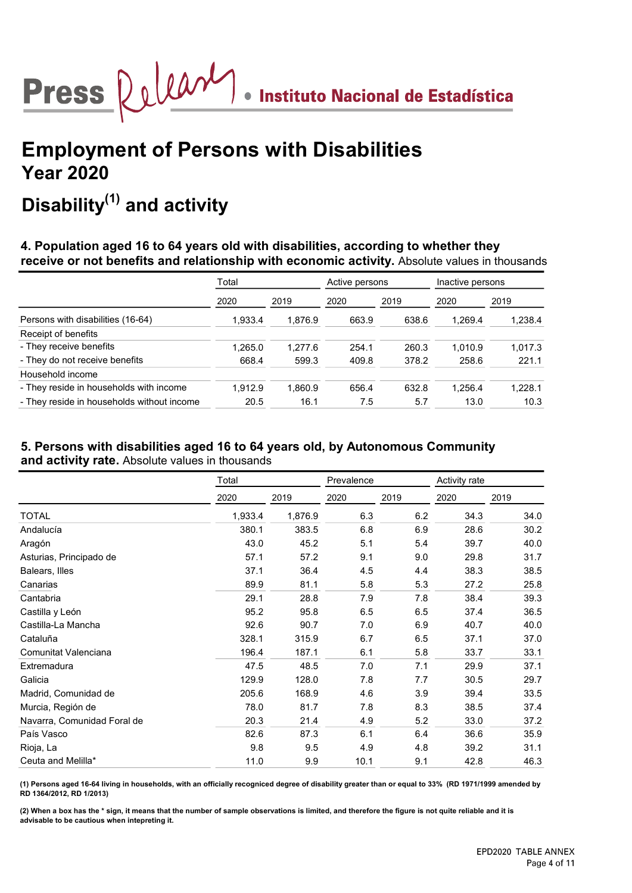![](_page_14_Picture_0.jpeg)

## Disability $^{(1)}$  and activity

4. Population aged 16 to 64 years old with disabilities, according to whether they receive or not benefits and relationship with economic activity. Absolute values in thousands

|                                            | Total   |         | Active persons |       | Inactive persons |         |  |
|--------------------------------------------|---------|---------|----------------|-------|------------------|---------|--|
|                                            | 2020    | 2019    | 2020           | 2019  | 2020             | 2019    |  |
| Persons with disabilities (16-64)          | 1,933.4 | 1,876.9 | 663.9          | 638.6 | 1.269.4          | 1,238.4 |  |
| Receipt of benefits                        |         |         |                |       |                  |         |  |
| - They receive benefits                    | 1,265.0 | 1.277.6 | 254.1          | 260.3 | 1.010.9          | 1,017.3 |  |
| - They do not receive benefits             | 668.4   | 599.3   | 409.8          | 378.2 | 258.6            | 221.1   |  |
| Household income                           |         |         |                |       |                  |         |  |
| - They reside in households with income    | 1.912.9 | 1.860.9 | 656.4          | 632.8 | 1.256.4          | 1.228.1 |  |
| - They reside in households without income | 20.5    | 16.1    | 7.5            | 5.7   | 13.0             | 10.3    |  |

#### 5. Persons with disabilities aged 16 to 64 years old, by Autonomous Community and activity rate. Absolute values in thousands

|                             | Total   |         | Prevalence |      | Activity rate |      |
|-----------------------------|---------|---------|------------|------|---------------|------|
|                             | 2020    | 2019    | 2020       | 2019 | 2020          | 2019 |
| <b>TOTAL</b>                | 1,933.4 | 1,876.9 | 6.3        | 6.2  | 34.3          | 34.0 |
| Andalucía                   | 380.1   | 383.5   | 6.8        | 6.9  | 28.6          | 30.2 |
| Aragón                      | 43.0    | 45.2    | 5.1        | 5.4  | 39.7          | 40.0 |
| Asturias, Principado de     | 57.1    | 57.2    | 9.1        | 9.0  | 29.8          | 31.7 |
| Balears, Illes              | 37.1    | 36.4    | 4.5        | 4.4  | 38.3          | 38.5 |
| Canarias                    | 89.9    | 81.1    | 5.8        | 5.3  | 27.2          | 25.8 |
| Cantabria                   | 29.1    | 28.8    | 7.9        | 7.8  | 38.4          | 39.3 |
| Castilla y León             | 95.2    | 95.8    | 6.5        | 6.5  | 37.4          | 36.5 |
| Castilla-La Mancha          | 92.6    | 90.7    | 7.0        | 6.9  | 40.7          | 40.0 |
| Cataluña                    | 328.1   | 315.9   | 6.7        | 6.5  | 37.1          | 37.0 |
| Comunitat Valenciana        | 196.4   | 187.1   | 6.1        | 5.8  | 33.7          | 33.1 |
| Extremadura                 | 47.5    | 48.5    | 7.0        | 7.1  | 29.9          | 37.1 |
| Galicia                     | 129.9   | 128.0   | 7.8        | 7.7  | 30.5          | 29.7 |
| Madrid, Comunidad de        | 205.6   | 168.9   | 4.6        | 3.9  | 39.4          | 33.5 |
| Murcia, Región de           | 78.0    | 81.7    | 7.8        | 8.3  | 38.5          | 37.4 |
| Navarra, Comunidad Foral de | 20.3    | 21.4    | 4.9        | 5.2  | 33.0          | 37.2 |
| País Vasco                  | 82.6    | 87.3    | 6.1        | 6.4  | 36.6          | 35.9 |
| Rioja, La                   | 9.8     | 9.5     | 4.9        | 4.8  | 39.2          | 31.1 |
| Ceuta and Melilla*          | 11.0    | 9.9     | 10.1       | 9.1  | 42.8          | 46.3 |

(1) Persons aged 16-64 living in households, with an officially recogniced degree of disability greater than or equal to 33% (RD 1971/1999 amended by RD 1364/2012, RD 1/2013)

(2) When a box has the \* sign, it means that the number of sample observations is limited, and therefore the figure is not quite reliable and it is advisable to be cautious when intepreting it.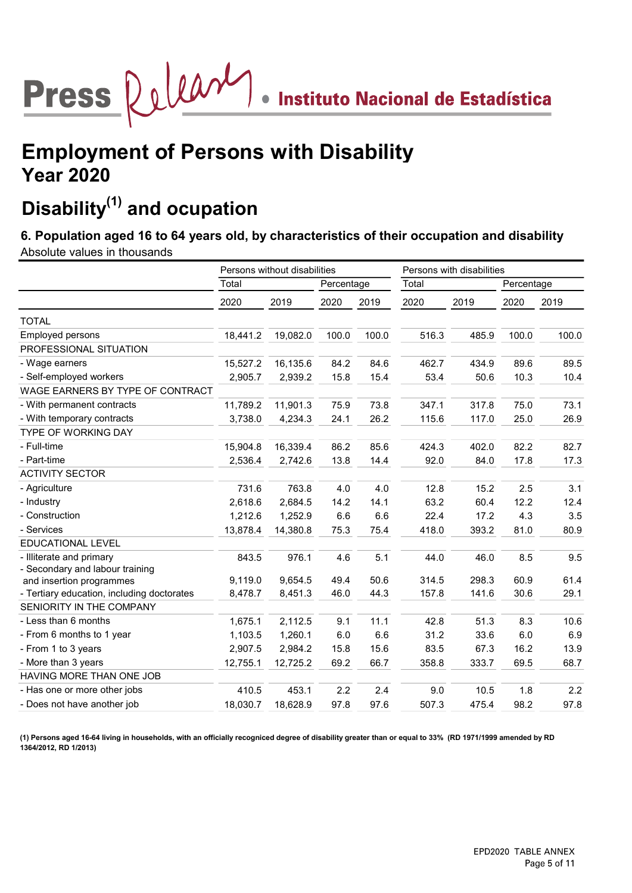# Press Quintil . Instituto Nacional de Estadística

## Employment of Persons with Disability Year 2020

## Disability $(1)$  and ocupation

6. Population aged 16 to 64 years old, by characteristics of their occupation and disability

Absolute values in thousands

|                                            |          | Persons without disabilities |            |       | Persons with disabilities |       |            |       |
|--------------------------------------------|----------|------------------------------|------------|-------|---------------------------|-------|------------|-------|
|                                            | Total    |                              | Percentage |       | Total                     |       | Percentage |       |
|                                            | 2020     | 2019                         | 2020       | 2019  | 2020                      | 2019  | 2020       | 2019  |
| <b>TOTAL</b>                               |          |                              |            |       |                           |       |            |       |
| Employed persons                           | 18,441.2 | 19,082.0                     | 100.0      | 100.0 | 516.3                     | 485.9 | 100.0      | 100.0 |
| PROFESSIONAL SITUATION                     |          |                              |            |       |                           |       |            |       |
| - Wage earners                             | 15,527.2 | 16,135.6                     | 84.2       | 84.6  | 462.7                     | 434.9 | 89.6       | 89.5  |
| - Self-employed workers                    | 2,905.7  | 2,939.2                      | 15.8       | 15.4  | 53.4                      | 50.6  | 10.3       | 10.4  |
| WAGE EARNERS BY TYPE OF CONTRACT           |          |                              |            |       |                           |       |            |       |
| - With permanent contracts                 | 11,789.2 | 11,901.3                     | 75.9       | 73.8  | 347.1                     | 317.8 | 75.0       | 73.1  |
| - With temporary contracts                 | 3,738.0  | 4,234.3                      | 24.1       | 26.2  | 115.6                     | 117.0 | 25.0       | 26.9  |
| TYPE OF WORKING DAY                        |          |                              |            |       |                           |       |            |       |
| - Full-time                                | 15,904.8 | 16,339.4                     | 86.2       | 85.6  | 424.3                     | 402.0 | 82.2       | 82.7  |
| - Part-time                                | 2,536.4  | 2,742.6                      | 13.8       | 14.4  | 92.0                      | 84.0  | 17.8       | 17.3  |
| <b>ACTIVITY SECTOR</b>                     |          |                              |            |       |                           |       |            |       |
| - Agriculture                              | 731.6    | 763.8                        | 4.0        | 4.0   | 12.8                      | 15.2  | 2.5        | 3.1   |
| - Industry                                 | 2,618.6  | 2,684.5                      | 14.2       | 14.1  | 63.2                      | 60.4  | 12.2       | 12.4  |
| - Construction                             | 1,212.6  | 1,252.9                      | 6.6        | 6.6   | 22.4                      | 17.2  | 4.3        | 3.5   |
| - Services                                 | 13,878.4 | 14,380.8                     | 75.3       | 75.4  | 418.0                     | 393.2 | 81.0       | 80.9  |
| EDUCATIONAL LEVEL                          |          |                              |            |       |                           |       |            |       |
| - Illiterate and primary                   | 843.5    | 976.1                        | 4.6        | 5.1   | 44.0                      | 46.0  | 8.5        | 9.5   |
| - Secondary and labour training            |          |                              |            |       |                           |       |            |       |
| and insertion programmes                   | 9,119.0  | 9,654.5                      | 49.4       | 50.6  | 314.5                     | 298.3 | 60.9       | 61.4  |
| - Tertiary education, including doctorates | 8,478.7  | 8,451.3                      | 46.0       | 44.3  | 157.8                     | 141.6 | 30.6       | 29.1  |
| SENIORITY IN THE COMPANY                   |          |                              |            |       |                           |       |            |       |
| - Less than 6 months                       | 1,675.1  | 2,112.5                      | 9.1        | 11.1  | 42.8                      | 51.3  | 8.3        | 10.6  |
| - From 6 months to 1 year                  | 1,103.5  | 1,260.1                      | 6.0        | 6.6   | 31.2                      | 33.6  | 6.0        | 6.9   |
| - From 1 to 3 years                        | 2,907.5  | 2,984.2                      | 15.8       | 15.6  | 83.5                      | 67.3  | 16.2       | 13.9  |
| - More than 3 years                        | 12,755.1 | 12,725.2                     | 69.2       | 66.7  | 358.8                     | 333.7 | 69.5       | 68.7  |
| HAVING MORE THAN ONE JOB                   |          |                              |            |       |                           |       |            |       |
| - Has one or more other jobs               | 410.5    | 453.1                        | 2.2        | 2.4   | 9.0                       | 10.5  | 1.8        | 2.2   |
| - Does not have another job                | 18,030.7 | 18,628.9                     | 97.8       | 97.6  | 507.3                     | 475.4 | 98.2       | 97.8  |

(1) Persons aged 16-64 living in households, with an officially recogniced degree of disability greater than or equal to 33% (RD 1971/1999 amended by RD 1364/2012, RD 1/2013)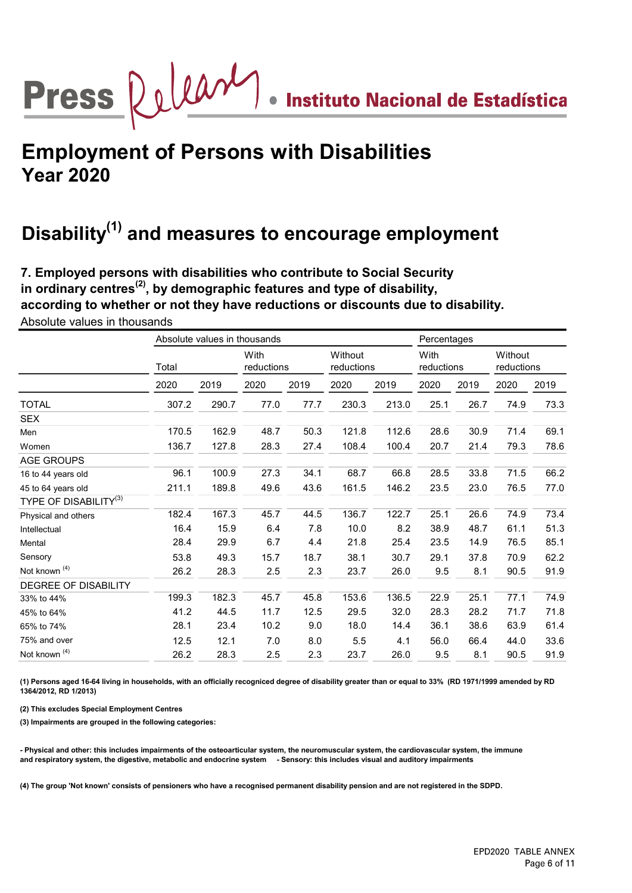# Press Quean . Instituto Nacional de Estadística

## Employment of Persons with Disabilities Year 2020

## Disability<sup>(1)</sup> and measures to encourage employment

7. Employed persons with disabilities who contribute to Social Security in ordinary centres<sup>(2)</sup>, by demographic features and type of disability, according to whether or not they have reductions or discounts due to disability.

|                             |       | Absolute values in thousands |                    |      |                       |       | Percentages        |      |                       |      |
|-----------------------------|-------|------------------------------|--------------------|------|-----------------------|-------|--------------------|------|-----------------------|------|
|                             | Total |                              | With<br>reductions |      | Without<br>reductions |       | With<br>reductions |      | Without<br>reductions |      |
|                             | 2020  | 2019                         | 2020               | 2019 | 2020                  | 2019  | 2020               | 2019 | 2020                  | 2019 |
| <b>TOTAL</b>                | 307.2 | 290.7                        | 77.0               | 77.7 | 230.3                 | 213.0 | 25.1               | 26.7 | 74.9                  | 73.3 |
| SEX                         |       |                              |                    |      |                       |       |                    |      |                       |      |
| Men                         | 170.5 | 162.9                        | 48.7               | 50.3 | 121.8                 | 112.6 | 28.6               | 30.9 | 71.4                  | 69.1 |
| Women                       | 136.7 | 127.8                        | 28.3               | 27.4 | 108.4                 | 100.4 | 20.7               | 21.4 | 79.3                  | 78.6 |
| AGE GROUPS                  |       |                              |                    |      |                       |       |                    |      |                       |      |
| 16 to 44 years old          | 96.1  | 100.9                        | 27.3               | 34.1 | 68.7                  | 66.8  | 28.5               | 33.8 | 71.5                  | 66.2 |
| 45 to 64 years old          | 211.1 | 189.8                        | 49.6               | 43.6 | 161.5                 | 146.2 | 23.5               | 23.0 | 76.5                  | 77.0 |
| TYPE OF DISABILITY $^{(3)}$ |       |                              |                    |      |                       |       |                    |      |                       |      |
| Physical and others         | 182.4 | 167.3                        | 45.7               | 44.5 | 136.7                 | 122.7 | 25.1               | 26.6 | 74.9                  | 73.4 |
| Intellectual                | 16.4  | 15.9                         | 6.4                | 7.8  | 10.0                  | 8.2   | 38.9               | 48.7 | 61.1                  | 51.3 |
| Mental                      | 28.4  | 29.9                         | 6.7                | 4.4  | 21.8                  | 25.4  | 23.5               | 14.9 | 76.5                  | 85.1 |
| Sensory                     | 53.8  | 49.3                         | 15.7               | 18.7 | 38.1                  | 30.7  | 29.1               | 37.8 | 70.9                  | 62.2 |
| Not known <sup>(4)</sup>    | 26.2  | 28.3                         | 2.5                | 2.3  | 23.7                  | 26.0  | 9.5                | 8.1  | 90.5                  | 91.9 |
| DEGREE OF DISABILITY        |       |                              |                    |      |                       |       |                    |      |                       |      |
| 33% to 44%                  | 199.3 | 182.3                        | 45.7               | 45.8 | 153.6                 | 136.5 | 22.9               | 25.1 | 77.1                  | 74.9 |
| 45% to 64%                  | 41.2  | 44.5                         | 11.7               | 12.5 | 29.5                  | 32.0  | 28.3               | 28.2 | 71.7                  | 71.8 |
| 65% to 74%                  | 28.1  | 23.4                         | 10.2               | 9.0  | 18.0                  | 14.4  | 36.1               | 38.6 | 63.9                  | 61.4 |
| 75% and over                | 12.5  | 12.1                         | 7.0                | 8.0  | 5.5                   | 4.1   | 56.0               | 66.4 | 44.0                  | 33.6 |
| Not known <sup>(4)</sup>    | 26.2  | 28.3                         | 2.5                | 2.3  | 23.7                  | 26.0  | 9.5                | 8.1  | 90.5                  | 91.9 |
|                             |       |                              |                    |      |                       |       |                    |      |                       |      |

Absolute values in thousands

(1) Persons aged 16-64 living in households, with an officially recogniced degree of disability greater than or equal to 33% (RD 1971/1999 amended by RD 1364/2012, RD 1/2013)

(2) This excludes Special Employment Centres

(3) Impairments are grouped in the following categories:

- Physical and other: this includes impairments of the osteoarticular system, the neuromuscular system, the cardiovascular system, the immune and respiratory system, the digestive, metabolic and endocrine system - Sensory: this includes visual and auditory impairments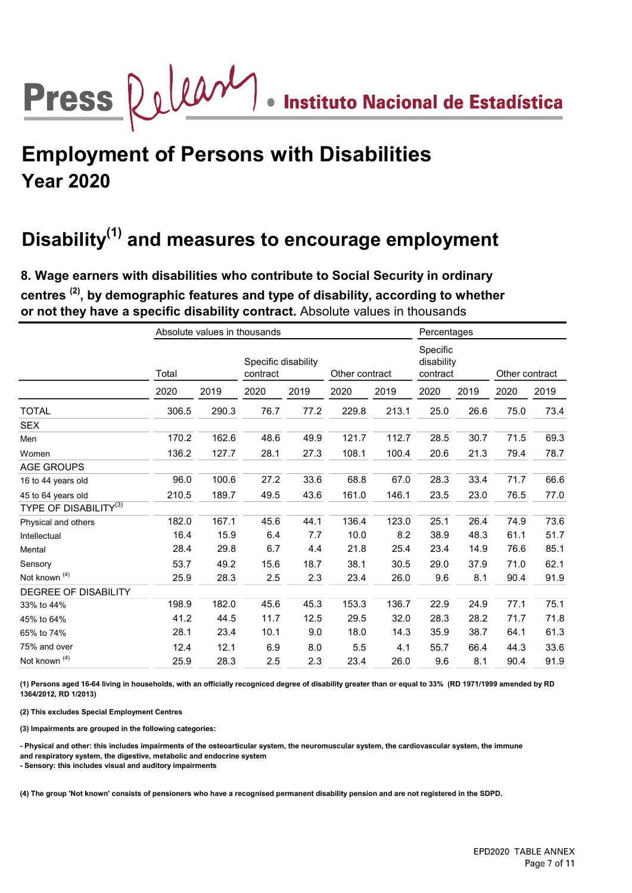# Press Quear . Instituto Nacional de Estadística

## Employment of Persons with Disabilities Year 2020

## Disability<sup>(1)</sup> and measures to encourage employment

centres<sup>(2)</sup>, by demographic features and type of disability, according to whether or not they have a specific disability contract. Absolute values in thousands 8. Wage earners with disabilities who contribute to Social Security in ordinary

|                                   |       | Absolute values in thousands |          |                     |       |                | Percentages |                                    |                |      |
|-----------------------------------|-------|------------------------------|----------|---------------------|-------|----------------|-------------|------------------------------------|----------------|------|
|                                   | Total |                              | contract | Specific disability |       | Other contract |             | Specific<br>disability<br>contract | Other contract |      |
|                                   | 2020  | 2019                         | 2020     | 2019                | 2020  | 2019           | 2020        | 2019                               | 2020           | 2019 |
| <b>TOTAL</b>                      | 306.5 | 290.3                        | 76.7     | 77.2                | 229.8 | 213.1          | 25.0        | 26.6                               | 75.0           | 73.4 |
| <b>SEX</b>                        |       |                              |          |                     |       |                |             |                                    |                |      |
| Men                               | 170.2 | 162.6                        | 48.6     | 49.9                | 121.7 | 112.7          | 28.5        | 30.7                               | 71.5           | 69.3 |
| Women                             | 136.2 | 127.7                        | 28.1     | 27.3                | 108.1 | 100.4          | 20.6        | 21.3                               | 79.4           | 78.7 |
| <b>AGE GROUPS</b>                 |       |                              |          |                     |       |                |             |                                    |                |      |
| 16 to 44 years old                | 96.0  | 100.6                        | 27.2     | 33.6                | 68.8  | 67.0           | 28.3        | 33.4                               | 71.7           | 66.6 |
| 45 to 64 years old                | 210.5 | 189.7                        | 49.5     | 43.6                | 161.0 | 146.1          | 23.5        | 23.0                               | 76.5           | 77.0 |
| TYPE OF DISABILITY <sup>(3)</sup> |       |                              |          |                     |       |                |             |                                    |                |      |
| Physical and others               | 182.0 | 167.1                        | 45.6     | 44.1                | 136.4 | 123.0          | 25.1        | 26.4                               | 74.9           | 73.6 |
| Intellectual                      | 16.4  | 15.9                         | 6.4      | 7.7                 | 10.0  | 8.2            | 38.9        | 48.3                               | 61.1           | 51.7 |
| Mental                            | 28.4  | 29.8                         | 6.7      | 4.4                 | 21.8  | 25.4           | 23.4        | 14.9                               | 76.6           | 85.1 |
| Sensory                           | 53.7  | 49.2                         | 15.6     | 18.7                | 38.1  | 30.5           | 29.0        | 37.9                               | 71.0           | 62.1 |
| Not known <sup>(4)</sup>          | 25.9  | 28.3                         | 2.5      | 2.3                 | 23.4  | 26.0           | 9.6         | 8.1                                | 90.4           | 91.9 |
| DEGREE OF DISABILITY              |       |                              |          |                     |       |                |             |                                    |                |      |
| 33% to 44%                        | 198.9 | 182.0                        | 45.6     | 45.3                | 153.3 | 136.7          | 22.9        | 24.9                               | 77.1           | 75.1 |
| 45% to 64%                        | 41.2  | 44.5                         | 11.7     | 12.5                | 29.5  | 32.0           | 28.3        | 28.2                               | 71.7           | 71.8 |
| 65% to 74%                        | 28.1  | 23.4                         | 10.1     | 9.0                 | 18.0  | 14.3           | 35.9        | 38.7                               | 64.1           | 61.3 |
| 75% and over                      | 12.4  | 12.1                         | 6.9      | 8.0                 | 5.5   | 4.1            | 55.7        | 66.4                               | 44.3           | 33.6 |
| Not known <sup>(4)</sup>          | 25.9  | 28.3                         | 2.5      | 2.3                 | 23.4  | 26.0           | 9.6         | 8.1                                | 90.4           | 91.9 |

(1) Persons aged 16-64 living in households, with an officially recogniced degree of disability greater than or equal to 33% (RD 1971/1999 amended by RD 1364/2012, RD 1/2013)

(2) This excludes Special Employment Centres

(3) Impairments are grouped in the following categories:

- Physical and other: this includes impairments of the osteoarticular system, the neuromuscular system, the cardiovascular system, the immune and respiratory system, the digestive, metabolic and endocrine system

- Sensory: this includes visual and auditory impairments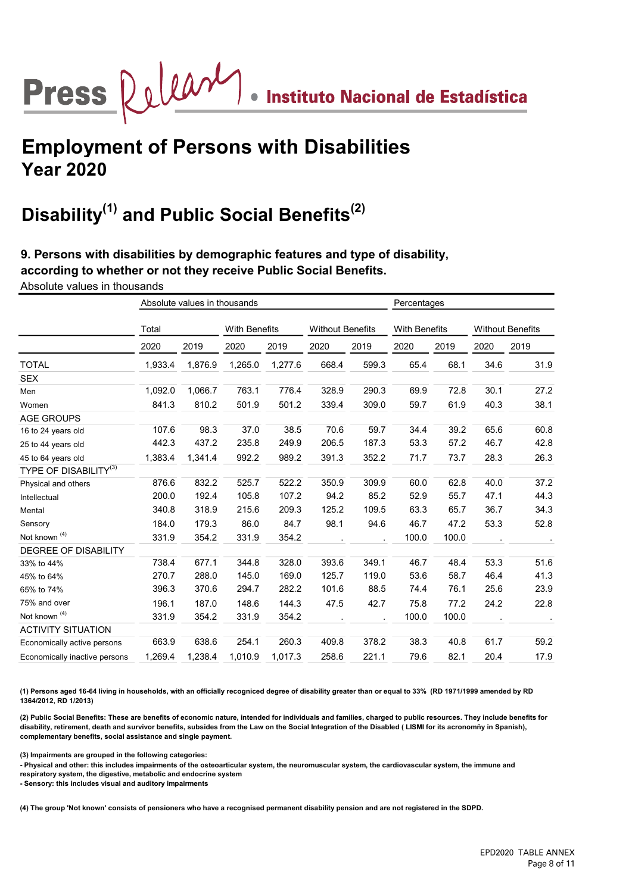## Press Quilary . Instituto Nacional de Estadística

## Employment of Persons with Disabilities Year 2020

## Disability<sup>(1)</sup> and Public Social Benefits<sup>(2)</sup>

9. Persons with disabilities by demographic features and type of disability, according to whether or not they receive Public Social Benefits.

Absolute values in thousands

|                                   |         | Absolute values in thousands |                      | Percentages |                         |       |                      |       |                         |      |
|-----------------------------------|---------|------------------------------|----------------------|-------------|-------------------------|-------|----------------------|-------|-------------------------|------|
|                                   | Total   |                              | <b>With Benefits</b> |             | <b>Without Benefits</b> |       | <b>With Benefits</b> |       | <b>Without Benefits</b> |      |
|                                   | 2020    | 2019                         | 2020                 | 2019        | 2020                    | 2019  | 2020                 | 2019  | 2020                    | 2019 |
| <b>TOTAL</b>                      | 1,933.4 | 1,876.9                      | 1,265.0              | 1,277.6     | 668.4                   | 599.3 | 65.4                 | 68.1  | 34.6                    | 31.9 |
| <b>SEX</b>                        |         |                              |                      |             |                         |       |                      |       |                         |      |
| Men                               | 1,092.0 | 1,066.7                      | 763.1                | 776.4       | 328.9                   | 290.3 | 69.9                 | 72.8  | 30.1                    | 27.2 |
| Women                             | 841.3   | 810.2                        | 501.9                | 501.2       | 339.4                   | 309.0 | 59.7                 | 61.9  | 40.3                    | 38.1 |
| <b>AGE GROUPS</b>                 |         |                              |                      |             |                         |       |                      |       |                         |      |
| 16 to 24 years old                | 107.6   | 98.3                         | 37.0                 | 38.5        | 70.6                    | 59.7  | 34.4                 | 39.2  | 65.6                    | 60.8 |
| 25 to 44 years old                | 442.3   | 437.2                        | 235.8                | 249.9       | 206.5                   | 187.3 | 53.3                 | 57.2  | 46.7                    | 42.8 |
| 45 to 64 years old                | 1,383.4 | 1,341.4                      | 992.2                | 989.2       | 391.3                   | 352.2 | 71.7                 | 73.7  | 28.3                    | 26.3 |
| TYPE OF DISABILITY <sup>(3)</sup> |         |                              |                      |             |                         |       |                      |       |                         |      |
| Physical and others               | 876.6   | 832.2                        | 525.7                | 522.2       | 350.9                   | 309.9 | 60.0                 | 62.8  | 40.0                    | 37.2 |
| Intellectual                      | 200.0   | 192.4                        | 105.8                | 107.2       | 94.2                    | 85.2  | 52.9                 | 55.7  | 47.1                    | 44.3 |
| Mental                            | 340.8   | 318.9                        | 215.6                | 209.3       | 125.2                   | 109.5 | 63.3                 | 65.7  | 36.7                    | 34.3 |
| Sensory                           | 184.0   | 179.3                        | 86.0                 | 84.7        | 98.1                    | 94.6  | 46.7                 | 47.2  | 53.3                    | 52.8 |
| Not known <sup>(4)</sup>          | 331.9   | 354.2                        | 331.9                | 354.2       |                         |       | 100.0                | 100.0 |                         |      |
| <b>DEGREE OF DISABILITY</b>       |         |                              |                      |             |                         |       |                      |       |                         |      |
| 33% to 44%                        | 738.4   | 677.1                        | 344.8                | 328.0       | 393.6                   | 349.1 | 46.7                 | 48.4  | 53.3                    | 51.6 |
| 45% to 64%                        | 270.7   | 288.0                        | 145.0                | 169.0       | 125.7                   | 119.0 | 53.6                 | 58.7  | 46.4                    | 41.3 |
| 65% to 74%                        | 396.3   | 370.6                        | 294.7                | 282.2       | 101.6                   | 88.5  | 74.4                 | 76.1  | 25.6                    | 23.9 |
| 75% and over                      | 196.1   | 187.0                        | 148.6                | 144.3       | 47.5                    | 42.7  | 75.8                 | 77.2  | 24.2                    | 22.8 |
| Not known <sup>(4)</sup>          | 331.9   | 354.2                        | 331.9                | 354.2       |                         |       | 100.0                | 100.0 |                         |      |
| <b>ACTIVITY SITUATION</b>         |         |                              |                      |             |                         |       |                      |       |                         |      |
| Economically active persons       | 663.9   | 638.6                        | 254.1                | 260.3       | 409.8                   | 378.2 | 38.3                 | 40.8  | 61.7                    | 59.2 |
| Economically inactive persons     | 1,269.4 | 1,238.4                      | 1,010.9              | 1,017.3     | 258.6                   | 221.1 | 79.6                 | 82.1  | 20.4                    | 17.9 |

(1) Persons aged 16-64 living in households, with an officially recogniced degree of disability greater than or equal to 33% (RD 1971/1999 amended by RD 1364/2012, RD 1/2013)

(2) Public Social Benefits: These are benefits of economic nature, intended for individuals and families, charged to public resources. They include benefits for disability, retirement, death and survivor benefits, subsides from the Law on the Social Integration of the Disabled ( LISMI for its acronomñy in Spanish), complementary benefits, social assistance and single payment.

(3) Impairments are grouped in the following categories:

- Physical and other: this includes impairments of the osteoarticular system, the neuromuscular system, the cardiovascular system, the immune and respiratory system, the digestive, metabolic and endocrine system

- Sensory: this includes visual and auditory impairments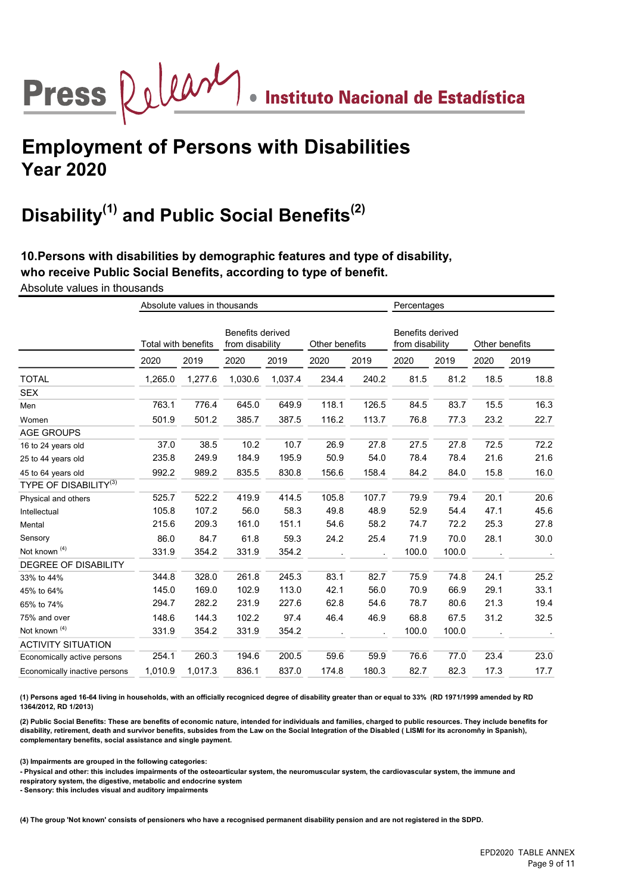## Press  $\bigotimes \bigcup \bigcup \bigotimes \mathcal{M}$  . Instituto Nacional de Estadística

## Employment of Persons with Disabilities Year 2020

## Disability<sup>(1)</sup> and Public Social Benefits<sup>(2)</sup>

10.Persons with disabilities by demographic features and type of disability, who receive Public Social Benefits, according to type of benefit.

Absolute values in thousands

|                               |         | Absolute values in thousands |         |                                            | Percentages |                |                                     |       |                |      |
|-------------------------------|---------|------------------------------|---------|--------------------------------------------|-------------|----------------|-------------------------------------|-------|----------------|------|
|                               |         | Total with benefits          |         | <b>Benefits derived</b><br>from disability |             | Other benefits | Benefits derived<br>from disability |       | Other benefits |      |
|                               | 2020    | 2019                         | 2020    | 2019                                       | 2020        | 2019           | 2020                                | 2019  | 2020           | 2019 |
| <b>TOTAL</b>                  | 1,265.0 | 1,277.6                      | 1,030.6 | 1,037.4                                    | 234.4       | 240.2          | 81.5                                | 81.2  | 18.5           | 18.8 |
| <b>SEX</b>                    |         |                              |         |                                            |             |                |                                     |       |                |      |
| Men                           | 763.1   | 776.4                        | 645.0   | 649.9                                      | 118.1       | 126.5          | 84.5                                | 83.7  | 15.5           | 16.3 |
| Women                         | 501.9   | 501.2                        | 385.7   | 387.5                                      | 116.2       | 113.7          | 76.8                                | 77.3  | 23.2           | 22.7 |
| <b>AGE GROUPS</b>             |         |                              |         |                                            |             |                |                                     |       |                |      |
| 16 to 24 years old            | 37.0    | 38.5                         | 10.2    | 10.7                                       | 26.9        | 27.8           | 27.5                                | 27.8  | 72.5           | 72.2 |
| 25 to 44 years old            | 235.8   | 249.9                        | 184.9   | 195.9                                      | 50.9        | 54.0           | 78.4                                | 78.4  | 21.6           | 21.6 |
| 45 to 64 years old            | 992.2   | 989.2                        | 835.5   | 830.8                                      | 156.6       | 158.4          | 84.2                                | 84.0  | 15.8           | 16.0 |
| <b>TYPE OF DISABILITY(3)</b>  |         |                              |         |                                            |             |                |                                     |       |                |      |
| Physical and others           | 525.7   | 522.2                        | 419.9   | 414.5                                      | 105.8       | 107.7          | 79.9                                | 79.4  | 20.1           | 20.6 |
| Intellectual                  | 105.8   | 107.2                        | 56.0    | 58.3                                       | 49.8        | 48.9           | 52.9                                | 54.4  | 47.1           | 45.6 |
| Mental                        | 215.6   | 209.3                        | 161.0   | 151.1                                      | 54.6        | 58.2           | 74.7                                | 72.2  | 25.3           | 27.8 |
| Sensory                       | 86.0    | 84.7                         | 61.8    | 59.3                                       | 24.2        | 25.4           | 71.9                                | 70.0  | 28.1           | 30.0 |
| Not known <sup>(4)</sup>      | 331.9   | 354.2                        | 331.9   | 354.2                                      |             |                | 100.0                               | 100.0 |                |      |
| <b>DEGREE OF DISABILITY</b>   |         |                              |         |                                            |             |                |                                     |       |                |      |
| 33% to 44%                    | 344.8   | 328.0                        | 261.8   | 245.3                                      | 83.1        | 82.7           | 75.9                                | 74.8  | 24.1           | 25.2 |
| 45% to 64%                    | 145.0   | 169.0                        | 102.9   | 113.0                                      | 42.1        | 56.0           | 70.9                                | 66.9  | 29.1           | 33.1 |
| 65% to 74%                    | 294.7   | 282.2                        | 231.9   | 227.6                                      | 62.8        | 54.6           | 78.7                                | 80.6  | 21.3           | 19.4 |
| 75% and over                  | 148.6   | 144.3                        | 102.2   | 97.4                                       | 46.4        | 46.9           | 68.8                                | 67.5  | 31.2           | 32.5 |
| Not known <sup>(4)</sup>      | 331.9   | 354.2                        | 331.9   | 354.2                                      |             |                | 100.0                               | 100.0 |                |      |
| <b>ACTIVITY SITUATION</b>     |         |                              |         |                                            |             |                |                                     |       |                |      |
| Economically active persons   | 254.1   | 260.3                        | 194.6   | 200.5                                      | 59.6        | 59.9           | 76.6                                | 77.0  | 23.4           | 23.0 |
| Economically inactive persons | 1,010.9 | 1,017.3                      | 836.1   | 837.0                                      | 174.8       | 180.3          | 82.7                                | 82.3  | 17.3           | 17.7 |
|                               |         |                              |         |                                            |             |                |                                     |       |                |      |

(1) Persons aged 16-64 living in households, with an officially recogniced degree of disability greater than or equal to 33% (RD 1971/1999 amended by RD 1364/2012, RD 1/2013)

(2) Public Social Benefits: These are benefits of economic nature, intended for individuals and families, charged to public resources. They include benefits for disability, retirement, death and survivor benefits, subsides from the Law on the Social Integration of the Disabled ( LISMI for its acronomñy in Spanish), complementary benefits, social assistance and single payment.

(3) Impairments are grouped in the following categories:

- Physical and other: this includes impairments of the osteoarticular system, the neuromuscular system, the cardiovascular system, the immune and respiratory system, the digestive, metabolic and endocrine system

- Sensory: this includes visual and auditory impairments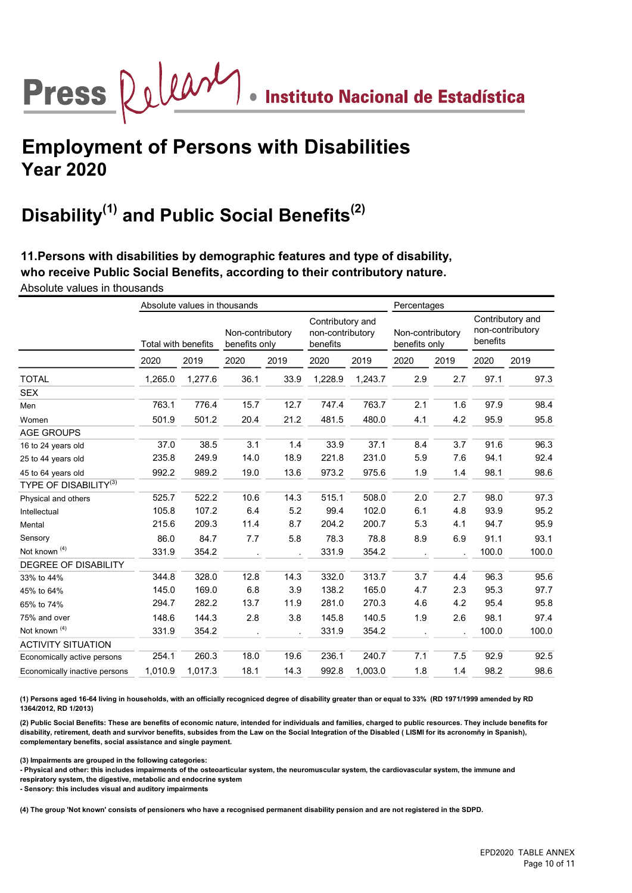## Press  $\bigotimes \bigcup \bigcup \bigotimes \mathcal{M}$  . Instituto Nacional de Estadística

## Employment of Persons with Disabilities Year 2020

## Disability<sup>(1)</sup> and Public Social Benefits<sup>(2)</sup>

11.Persons with disabilities by demographic features and type of disability, who receive Public Social Benefits, according to their contributory nature. Absolute values in thousands

|                               |                     | Absolute values in thousands |      |                                   | Percentages |                                                  |      |                                   |       |                                                  |  |
|-------------------------------|---------------------|------------------------------|------|-----------------------------------|-------------|--------------------------------------------------|------|-----------------------------------|-------|--------------------------------------------------|--|
|                               | Total with benefits |                              |      | Non-contributory<br>benefits only |             | Contributory and<br>non-contributory<br>benefits |      | Non-contributory<br>benefits only |       | Contributory and<br>non-contributory<br>benefits |  |
|                               | 2020                | 2019                         | 2020 | 2019                              | 2020        | 2019                                             | 2020 | 2019                              | 2020  | 2019                                             |  |
| <b>TOTAL</b>                  | 1,265.0             | 1,277.6                      | 36.1 | 33.9                              | 1,228.9     | 1,243.7                                          | 2.9  | 2.7                               | 97.1  | 97.3                                             |  |
| <b>SEX</b>                    |                     |                              |      |                                   |             |                                                  |      |                                   |       |                                                  |  |
| Men                           | 763.1               | 776.4                        | 15.7 | 12.7                              | 747.4       | 763.7                                            | 2.1  | 1.6                               | 97.9  | 98.4                                             |  |
| Women                         | 501.9               | 501.2                        | 20.4 | 21.2                              | 481.5       | 480.0                                            | 4.1  | 4.2                               | 95.9  | 95.8                                             |  |
| <b>AGE GROUPS</b>             |                     |                              |      |                                   |             |                                                  |      |                                   |       |                                                  |  |
| 16 to 24 years old            | 37.0                | 38.5                         | 3.1  | 1.4                               | 33.9        | 37.1                                             | 8.4  | 3.7                               | 91.6  | 96.3                                             |  |
| 25 to 44 years old            | 235.8               | 249.9                        | 14.0 | 18.9                              | 221.8       | 231.0                                            | 5.9  | 7.6                               | 94.1  | 92.4                                             |  |
| 45 to 64 years old            | 992.2               | 989.2                        | 19.0 | 13.6                              | 973.2       | 975.6                                            | 1.9  | 1.4                               | 98.1  | 98.6                                             |  |
| <b>TYPE OF DISABILITY(3)</b>  |                     |                              |      |                                   |             |                                                  |      |                                   |       |                                                  |  |
| Physical and others           | 525.7               | 522.2                        | 10.6 | 14.3                              | 515.1       | 508.0                                            | 2.0  | 2.7                               | 98.0  | 97.3                                             |  |
| Intellectual                  | 105.8               | 107.2                        | 6.4  | 5.2                               | 99.4        | 102.0                                            | 6.1  | 4.8                               | 93.9  | 95.2                                             |  |
| Mental                        | 215.6               | 209.3                        | 11.4 | 8.7                               | 204.2       | 200.7                                            | 5.3  | 4.1                               | 94.7  | 95.9                                             |  |
| Sensory                       | 86.0                | 84.7                         | 7.7  | 5.8                               | 78.3        | 78.8                                             | 8.9  | 6.9                               | 91.1  | 93.1                                             |  |
| Not known <sup>(4)</sup>      | 331.9               | 354.2                        |      |                                   | 331.9       | 354.2                                            |      |                                   | 100.0 | 100.0                                            |  |
| <b>DEGREE OF DISABILITY</b>   |                     |                              |      |                                   |             |                                                  |      |                                   |       |                                                  |  |
| 33% to 44%                    | 344.8               | 328.0                        | 12.8 | 14.3                              | 332.0       | 313.7                                            | 3.7  | 4.4                               | 96.3  | 95.6                                             |  |
| 45% to 64%                    | 145.0               | 169.0                        | 6.8  | 3.9                               | 138.2       | 165.0                                            | 4.7  | 2.3                               | 95.3  | 97.7                                             |  |
| 65% to 74%                    | 294.7               | 282.2                        | 13.7 | 11.9                              | 281.0       | 270.3                                            | 4.6  | 4.2                               | 95.4  | 95.8                                             |  |
| 75% and over                  | 148.6               | 144.3                        | 2.8  | 3.8                               | 145.8       | 140.5                                            | 1.9  | 2.6                               | 98.1  | 97.4                                             |  |
| Not known <sup>(4)</sup>      | 331.9               | 354.2                        |      |                                   | 331.9       | 354.2                                            |      |                                   | 100.0 | 100.0                                            |  |
| <b>ACTIVITY SITUATION</b>     |                     |                              |      |                                   |             |                                                  |      |                                   |       |                                                  |  |
| Economically active persons   | 254.1               | 260.3                        | 18.0 | 19.6                              | 236.1       | 240.7                                            | 7.1  | 7.5                               | 92.9  | 92.5                                             |  |
| Economically inactive persons | 1,010.9             | 1,017.3                      | 18.1 | 14.3                              | 992.8       | 1,003.0                                          | 1.8  | 1.4                               | 98.2  | 98.6                                             |  |

(1) Persons aged 16-64 living in households, with an officially recogniced degree of disability greater than or equal to 33% (RD 1971/1999 amended by RD 1364/2012, RD 1/2013)

(2) Public Social Benefits: These are benefits of economic nature, intended for individuals and families, charged to public resources. They include benefits for disability, retirement, death and survivor benefits, subsides from the Law on the Social Integration of the Disabled ( LISMI for its acronomñy in Spanish), complementary benefits, social assistance and single payment.

(3) Impairments are grouped in the following categories:

- Physical and other: this includes impairments of the osteoarticular system, the neuromuscular system, the cardiovascular system, the immune and respiratory system, the digestive, metabolic and endocrine system

- Sensory: this includes visual and auditory impairments